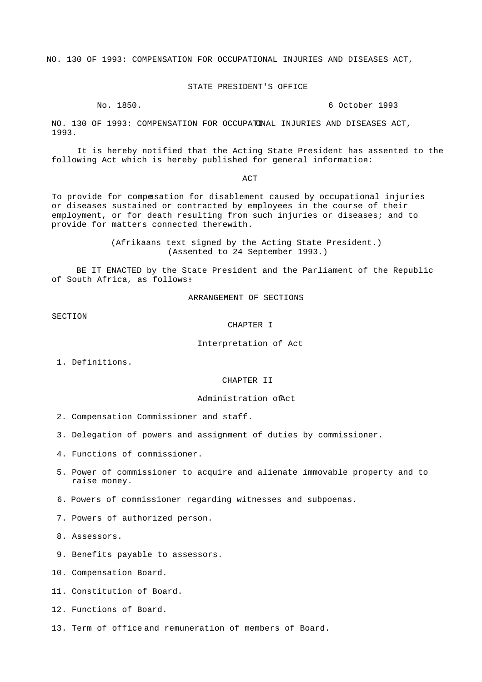NO. 130 OF 1993: COMPENSATION FOR OCCUPATIONAL INJURIES AND DISEASES ACT,

## STATE PRESIDENT'S OFFICE

No. 1850. 6 October 1993

 NO. 130 OF 1993: COMPENSATION FOR OCCUPATIONAL INJURIES AND DISEASES ACT, 1993.

 It is hereby notified that the Acting State President has assented to the following Act which is hereby published for general information:-

ACT

 To provide for compensation for disablement caused by occupational injuries or diseases sustained or contracted by employees in the course of their employment, or for death resulting from such injuries or diseases; and to provide for matters connected therewith.

> (Afrikaans text signed by the Acting State President.) (Assented to 24 September 1993.)

 BE IT ENACTED by the State President and the Parliament of the Republic of South Africa, as follows:

ARRANGEMENT OF SECTIONS

SECTION

CHAPTER I

Interpretation of Act

1. Definitions.

CHAPTER II

### Administration of Act

2. Compensation Commissioner and staff.

- 3. Delegation of powers and assignment of duties by commissioner.
- 4. Functions of commissioner.
- 5. Power of commissioner to acquire and alienate immovable property and to raise money.
- 6. Powers of commissioner regarding witnesses and subpoenas.
- 7. Powers of authorized person.

8. Assessors.

- 9. Benefits payable to assessors.
- 10. Compensation Board.
- 11. Constitution of Board.
- 12. Functions of Board.
- 13. Term of office and remuneration of members of Board.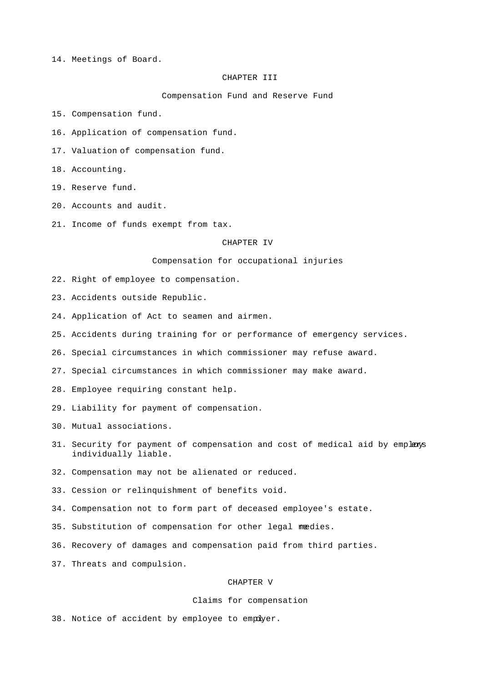14. Meetings of Board.

## CHAPTER III

Compensation Fund and Reserve Fund

15. Compensation fund.

16. Application of compensation fund.

17. Valuation of compensation fund.

18. Accounting.

19. Reserve fund.

20. Accounts and audit.

21. Income of funds exempt from tax.

### CHAPTER IV

Compensation for occupational injuries

22. Right of employee to compensation.

23. Accidents outside Republic.

24. Application of Act to seamen and airmen.

25. Accidents during training for or performance of emergency services.

26. Special circumstances in which commissioner may refuse award.

27. Special circumstances in which commissioner may make award.

28. Employee requiring constant help.

29. Liability for payment of compensation.

30. Mutual associations.

31. Security for payment of compensation and cost of medical aid by emplexs individually liable.

32. Compensation may not be alienated or reduced.

33. Cession or relinquishment of benefits void.

34. Compensation not to form part of deceased employee's estate.

35. Substitution of compensation for other legal medies.

36. Recovery of damages and compensation paid from third parties.

37. Threats and compulsion.

# CHAPTER V

# Claims for compensation

38. Notice of accident by employee to empdyer.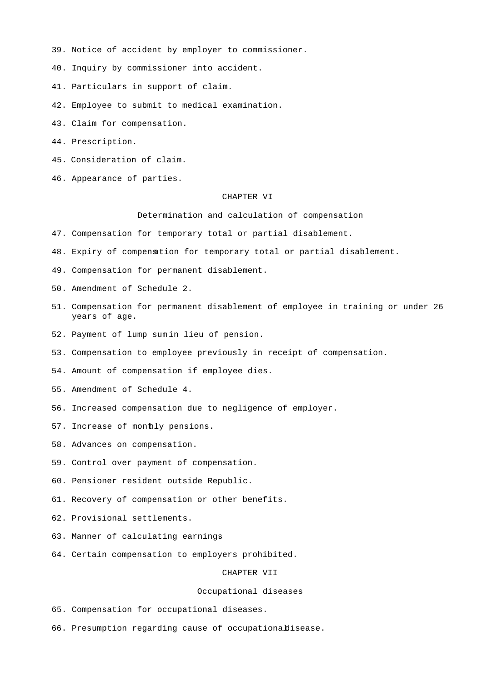- 39. Notice of accident by employer to commissioner.
- 40. Inquiry by commissioner into accident.
- 41. Particulars in support of claim.
- 42. Employee to submit to medical examination.
- 43. Claim for compensation.
- 44. Prescription.
- 45. Consideration of claim.
- 46. Appearance of parties.

#### CHAPTER VI

Determination and calculation of compensation

- 47. Compensation for temporary total or partial disablement.
- 48. Expiry of compensation for temporary total or partial disablement.
- 49. Compensation for permanent disablement.
- 50. Amendment of Schedule 2.
- 51. Compensation for permanent disablement of employee in training or under 26 years of age.
- 52. Payment of lump sum in lieu of pension.
- 53. Compensation to employee previously in receipt of compensation.
- 54. Amount of compensation if employee dies.
- 55. Amendment of Schedule 4.
- 56. Increased compensation due to negligence of employer.
- 57. Increase of monthly pensions.
- 58. Advances on compensation.
- 59. Control over payment of compensation.
- 60. Pensioner resident outside Republic.
- 61. Recovery of compensation or other benefits.
- 62. Provisional settlements.
- 63. Manner of calculating earnings.
- 64. Certain compensation to employers prohibited.

CHAPTER VII

#### Occupational diseases

- 65. Compensation for occupational diseases.
- 66. Presumption regarding cause of occupational disease.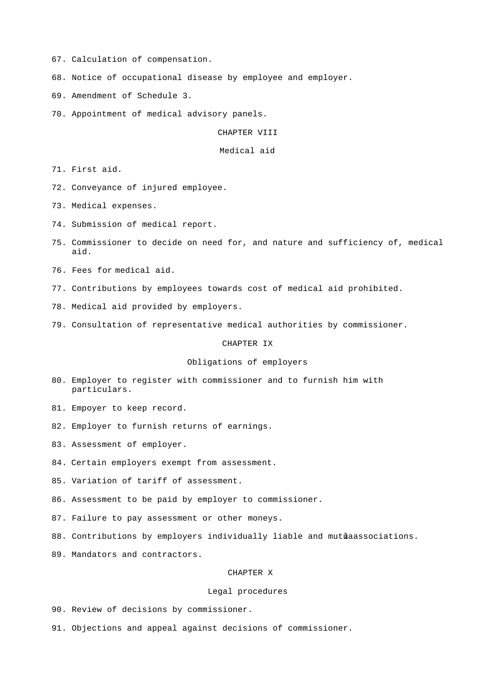- 67. Calculation of compensation.
- 68. Notice of occupational disease by employee and employer.
- 69. Amendment of Schedule 3.
- 70. Appointment of medical advisory panels.

CHAPTER VIII

#### Medical aid

71. First aid.

72. Conveyance of injured employee.

73. Medical expenses.

- 74. Submission of medical report.
- 75. Commissioner to decide on need for, and nature and sufficiency of, medical aid.
- 76. Fees for medical aid.
- 77. Contributions by employees towards cost of medical aid prohibited.
- 78. Medical aid provided by employers.
- 79. Consultation of representative medical authorities by commissioner.

## CHAPTER IX

# Obligations of employers

- 80. Employer to register with commissioner and to furnish him with particulars.
- 81. Empoyer to keep record.
- 82. Employer to furnish returns of earnings.
- 83. Assessment of employer.
- 84. Certain employers exempt from assessment.
- 85. Variation of tariff of assessment.
- 86. Assessment to be paid by employer to commissioner.
- 87. Failure to pay assessment or other moneys.
- 88. Contributions by employers individually liable and mutuaassociations.
- 89. Mandators and contractors.

### CHAPTER X

#### Legal procedures

- 90. Review of decisions by commissioner.
- 91. Objections and appeal against decisions of commissioner.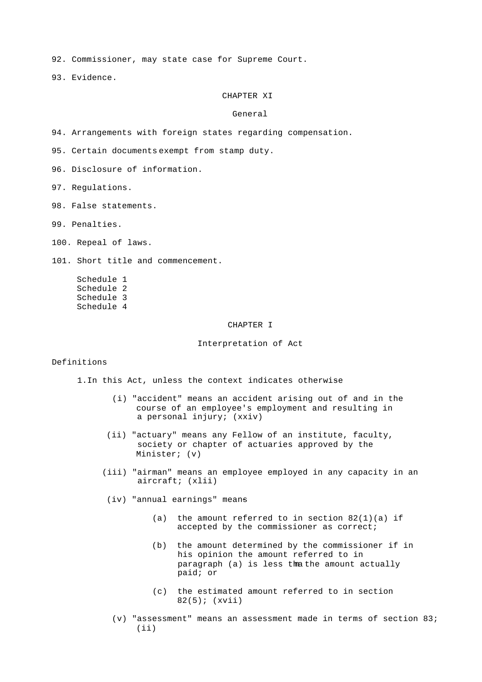92. Commissioner, may state case for Supreme Court.

93. Evidence.

## CHAPTER XI

## General

94. Arrangements with foreign states regarding compensation.

95. Certain documents exempt from stamp duty.

96. Disclosure of information.

97. Regulations.

98. False statements.

99. Penalties.

100. Repeal of laws.

101. Short title and commencement.

 Schedule 1 Schedule 2 Schedule 3 Schedule 4

## CHAPTER I

Interpretation of Act

# Definitions

1.In this Act, unless the context indicates otherwise-

- (i) "accident" means an accident arising out of and in the course of an employee's employment and resulting in a personal injury; (xxiv)
- (ii) "actuary" means any Fellow of an institute, faculty, society or chapter of actuaries approved by the Minister; (v)
- (iii) "airman" means an employee employed in any capacity in an aircraft; (xlii)
- (iv) "annual earnings" means-
	- (a) the amount referred to in section  $82(1)(a)$  if accepted by the commissioner as correct;
	- (b) the amount determined by the commissioner if in his opinion the amount referred to in paragraph (a) is less thathe amount actually paid; or
	- (c) the estimated amount referred to in section 82(5); (xvii)
	- (v) "assessment" means an assessment made in terms of section 83; (ii)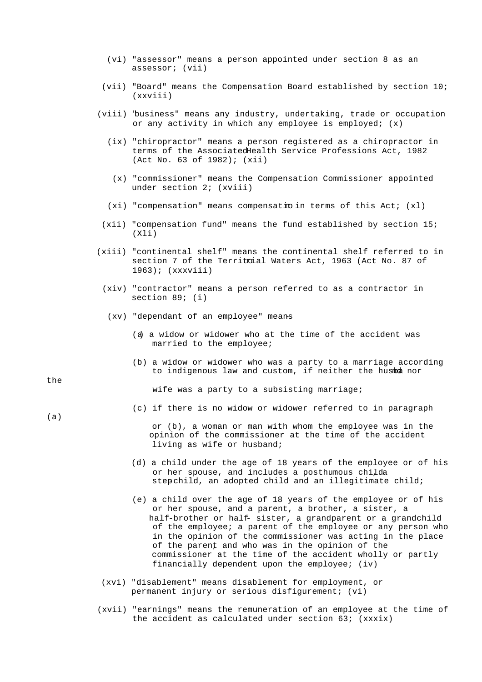- (vi) "assessor" means a person appointed under section 8 as an assessor; (vii)
- (vii) "Board" means the Compensation Board established by section 10; (xxviii)
- (viii) "business" means any industry, undertaking, trade or occupation or any activity in which any employee is employed; (x)
	- (ix) "chiropractor" means a person registered as a chiropractor in terms of the Associated Health Service Professions Act, 1982 (Act No. 63 of 1982); (xii)
		- (x) "commissioner" means the Compensation Commissioner appointed under section 2; (xviii)
	- $(xi)$  "compensation" means compensation in terms of this Act;  $(x1)$
- (xii) "compensation fund" means the fund established by section 15; (Xli)
- (xiii) "continental shelf" means the continental shelf referred to in section 7 of the Territoial Waters Act, 1963 (Act No. 87 of 1963); (xxxviii)
	- (xiv) "contractor" means a person referred to as a contractor in section 89; (i)
		- (xv) "dependant of an employee" means-
			- (a) a widow or widower who at the time of the accident was married to the employee;
			- (b) a widow or widower who was a party to a marriage according to indigenous law and custom, if neither the husba nor

wife was a party to a subsisting marriage;

(c) if there is no widow or widower referred to in paragraph

 or (b), a woman or man with whom the employee was in the opinion of the commissioner at the time of the accident living as wife or husband;

- (d) a child under the age of 18 years of the employee or of his or her spouse, and includes a posthumous childa stepchild, an adopted child and an illegitimate child;
- (e) a child over the age of 18 years of the employee or of his or her spouse, and a parent, a brother, a sister, a half-brother or half- sister, a grandparent or a grandchild of the employee; a parent of the employee or any person who in the opinion of the commissioner was acting in the place of the parent, and who was in the opinion of the commissioner at the time of the accident wholly or partly financially dependent upon the employee; (iv)
- (xvi) "disablement" means disablement for employment, or permanent injury or serious disfigurement; (vi)
- (xvii) "earnings" means the remuneration of an employee at the time of the accident as calculated under section 63; (xxxix)

the

(a)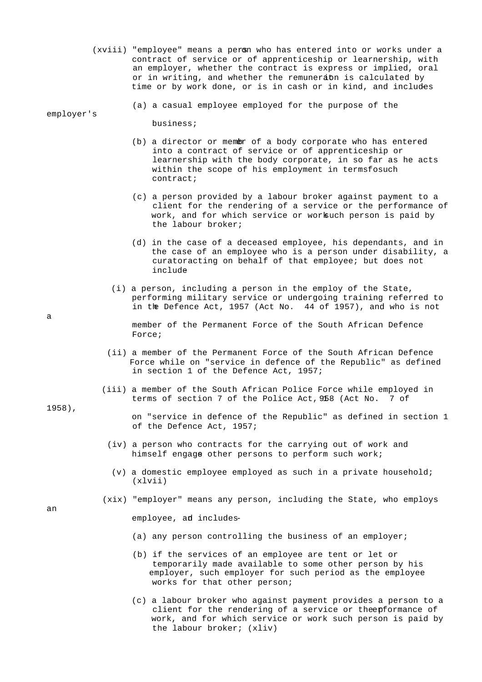- (xviii) "employee" means a persm who has entered into or works under a contract of service or of apprenticeship or learnership, with an employer, whether the contract is express or implied, oral or in writing, and whether the remunerabn is calculated by time or by work done, or is in cash or in kind, and includes
	- (a) a casual employee employed for the purpose of the

business;

- (b) a director or member of a body corporate who has entered into a contract of service or of apprenticeship or learnership with the body corporate, in so far as he acts within the scope of his employment in termsfosuch contract;
- (c) a person provided by a labour broker against payment to a client for the rendering of a service or the performance of work, and for which service or worksuch person is paid by the labour broker;
- (d) in the case of a deceased employee, his dependants, and in the case of an employee who is a person under disability, a curator acting on behalf of that employee; but does not include-
- (i) a person, including a person in the employ of the State, performing military service or undergoing training referred to in the Defence Act, 1957 (Act No. 44 of 1957), and who is not
	- member of the Permanent Force of the South African Defence Force;
- (ii) a member of the Permanent Force of the South African Defence Force while on "service in defence of the Republic" as defined in section 1 of the Defence Act, 1957;
- (iii) a member of the South African Police Force while employed in terms of section 7 of the Police Act, 958 (Act No. 7 of
	- on "service in defence of the Republic" as defined in section 1 of the Defence Act, 1957;
	- (iv) a person who contracts for the carrying out of work and himself engage other persons to perform such work;
	- (v) a domestic employee employed as such in a private household; (xlvii)
- (xix) "employer" means any person, including the State, who employs

employee, ad includes-

- (a) any person controlling the business of an employer;
- (b) if the services of an employee are tent or let or temporarily made available to some other person by his employer, such employer for such period as the employee works for that other person;
- (c) a labour broker who against payment provides a person to a client for the rendering of a service or the epformance of work, and for which service or work such person is paid by the labour broker; (xliv)

1958),

a

employer's

an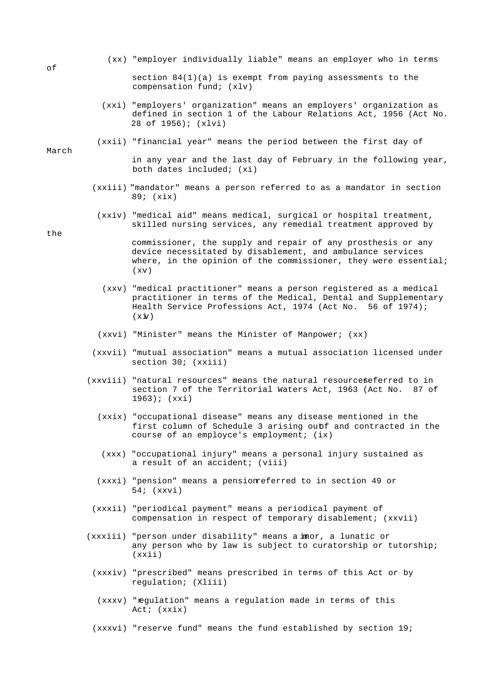(xx) "employer individually liable" means an employer who in terms

```
of
```
section  $84(1)(a)$  is exempt from paying assessments to the compensation fund; (xlv)

- (xxi) "employers' organization" means an employers' organization as defined in section 1 of the Labour Relations Act, 1956 (Act No. 28 of 1956); (xlvi)
- (xxii) "financial year" means the period between the first day of

 in any year and the last day of February in the following year, both dates included; (xi)

- (xxiii) "mandator" means a person referred to as a mandator in section 89; (xix)
- (xxiv) "medical aid" means medical, surgical or hospital treatment, skilled nursing services, any remedial treatment approved by

the

March

 commissioner, the supply and repair of any prosthesis or any device necessitated by disablement, and ambulance services where, in the opinion of the commissioner, they were essential; (xv)

- (xxv) "medical practitioner" means a person registered as a medical practitioner in terms of the Medical, Dental and Supplementary Health Service Professions Act, 1974 (Act No. 56 of 1974);  $(x \times y)$
- (xxvi) "Minister" means the Minister of Manpower; (xx)
- (xxvii) "mutual association" means a mutual association licensed under section 30; (xxiii)
- (xxviii) "natural resources" means the natural resources eferred to in section 7 of the Territorial Waters Act, 1963 (Act No. 87 of 1963); (xxi)
	- (xxix) "occupational disease" means any disease mentioned in the first column of Schedule 3 arising outf and contracted in the course of an employce's employment; (ix)
	- (xxx) "occupational injury" means a personal injury sustained as a result of an accident; (viii)
	- (xxxi) "pension" means a pension referred to in section 49 or 54; (xxvi)
	- (xxxii) "periodical payment" means a periodical payment of compensation in respect of temporary disablement; (xxvii)
- (xxxiii) "person under disability" means a imor, a lunatic or any person who by law is subject to curatorship or tutorship; (xxii)
	- (xxxiv) "prescribed" means prescribed in terms of this Act or by regulation; (Xliii)
	- (xxxv) "regulation" means a regulation made in terms of this Act; (xxix)
	- (xxxvi) "reserve fund" means the fund established by section 19;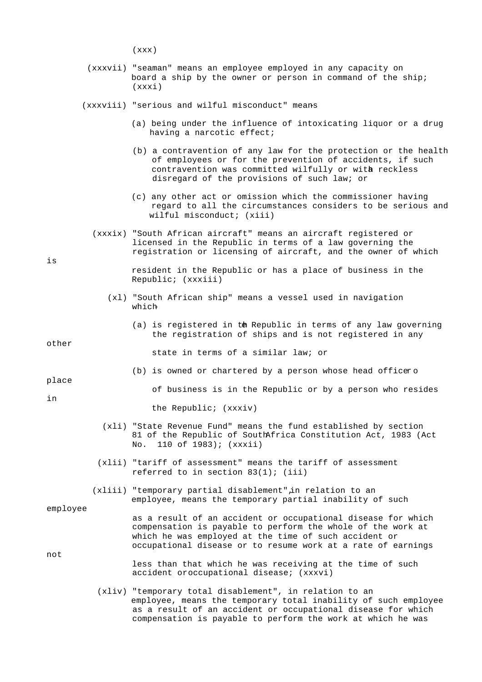(xxx)

 (xxxvii) "seaman" means an employee employed in any capacity on board a ship by the owner or person in command of the ship; (xxxi)

(xxxviii) "serious and wilful misconduct" means-

- (a) being under the influence of intoxicating liquor or a drug having a narcotic effect;
- (b) a contravention of any law for the protection or the health of employees or for the prevention of accidents, if such contravention was committed wilfully or with reckless disregard of the provisions of such law; or
- (c) any other act or omission which the commissioner having regard to all the circumstances considers to be serious and wilful misconduct; (xiii)
- (xxxix) "South African aircraft" means an aircraft registered or licensed in the Republic in terms of a law governing the registration or licensing of aircraft, and the owner of which

is

 resident in the Republic or has a place of business in the Republic; (xxxiii)

- (xl) "South African ship" means a vessel used in navigation which-
	- (a) is registered in the Republic in terms of any law governing the registration of ships and is not registered in any

other

state in terms of a similar law; or

place

of business is in the Republic or by a person who resides

in

the Republic; (xxxiv)

 (xli) "State Revenue Fund" means the fund established by section 81 of the Republic of South Africa Constitution Act, 1983 (Act No. 110 of 1983); (xxxii)

 $(b)$  is owned or chartered by a person whose head officero

- (xlii) "tariff of assessment" means the tariff of assessment referred to in section 83(1); (iii)
- (xliii) "temporary partial disablement" in relation to an employee, means the temporary partial inability of such

employee

 as a result of an accident or occupational disease for which compensation is payable to perform the whole of the work at which he was employed at the time of such accident or occupational disease or to resume work at a rate of earnings

not

- less than that which he was receiving at the time of such accident or occupational disease; (xxxvi)
- (xliv) "temporary total disablement", in relation to an employee, means the temporary total inability of such employee as a result of an accident or occupational disease for which compensation is payable to perform the work at which he was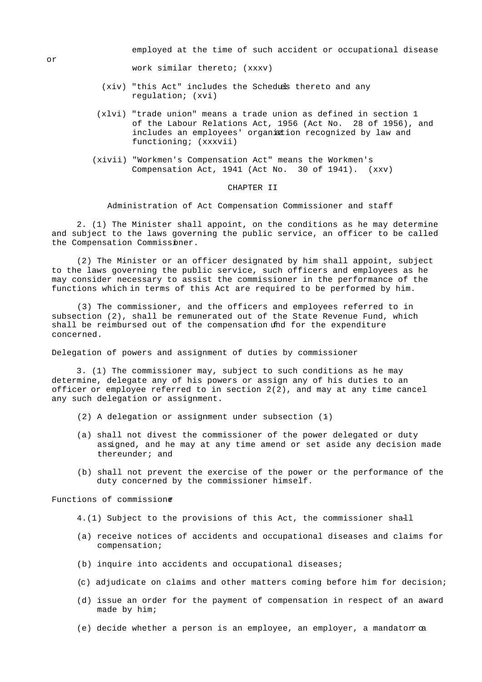employed at the time of such accident or occupational disease

work similar thereto; (xxxv)

- (xiv) "this Act" includes the Scheduls thereto and any regulation; (xvi)
- (xlvi) "trade union" means a trade union as defined in section 1 of the Labour Relations Act, 1956 (Act No. 28 of 1956), and includes an employees' organiztion recognized by law and functioning; (xxxvii)
- (xivii) "Workmen's Compensation Act" means the Workmen's Compensation Act, 1941 (Act No. 30 of 1941). (xxv)

#### CHAPTER II

Administration of Act Compensation Commissioner and staff

 2. (1) The Minister shall appoint, on the conditions as he may determine and subject to the laws governing the public service, an officer to be called the Compensation Commissiner.

 (2) The Minister or an officer designated by him shall appoint, subject to the laws governing the public service, such officers and employees as he may consider necessary to assist the commissioner in the performance of the functions which in terms of this Act are required to be performed by him.

 (3) The commissioner, and the officers and employees referred to in subsection (2), shall be remunerated out of the State Revenue Fund, which shall be reimbursed out of the compensation und for the expenditure concerned.

Delegation of powers and assignment of duties by commissioner

 3. (1) The commissioner may, subject to such conditions as he may determine, delegate any of his powers or assign any of his duties to an officer or employee referred to in section  $2(2)$ , and may at any time cancel any such delegation or assignment.

- (2) A delegation or assignment under subsection  $(1)$
- (a) shall not divest the commissioner of the power delegated or duty assigned, and he may at any time amend or set aside any decision made thereunder; and
- (b) shall not prevent the exercise of the power or the performance of the duty concerned by the commissioner himself.

Functions of commissioner

- 4.(1) Subject to the provisions of this Act, the commissioner shall
- (a) receive notices of accidents and occupational diseases and claims for compensation;
- (b) inquire into accidents and occupational diseases;
- (c) adjudicate on claims and other matters coming before him for decision;
- (d) issue an order for the payment of compensation in respect of an award made by him;
- $(e)$  decide whether a person is an employee, an employer, a mandator  $\alpha$

or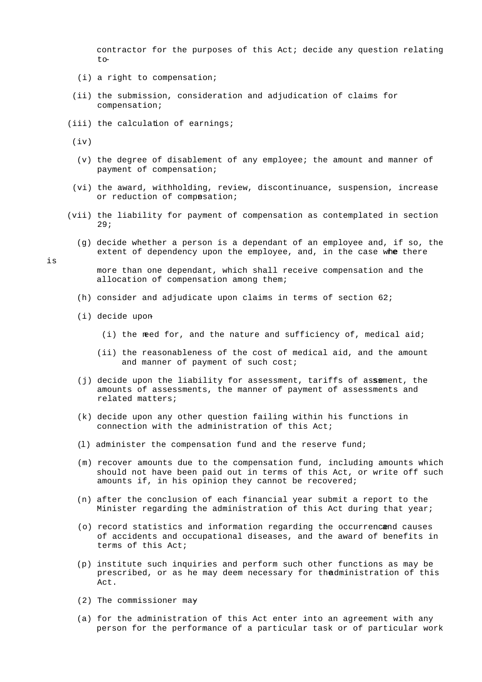contractor for the purposes of this Act; decide any question relating to-

- (i) a right to compensation;
- (ii) the submission, consideration and adjudication of claims for compensation;
- (iii) the calculation of earnings;

 $(iv)$ 

- (v) the degree of disablement of any employee; the amount and manner of payment of compensation;
- (vi) the award, withholding, review, discontinuance, suspension, increase or reduction of compasation;
- (vii) the liability for payment of compensation as contemplated in section 29;
	- (g) decide whether a person is a dependant of an employee and, if so, the extent of dependency upon the employee, and, in the case whe there

is

 more than one dependant, which shall receive compensation and the allocation of compensation among them;

- (h) consider and adjudicate upon claims in terms of section  $62i$
- (i) decide upon-
	- (i) the need for, and the nature and sufficiency of, medical aid;
	- (ii) the reasonableness of the cost of medical aid, and the amount and manner of payment of such cost;
- (j) decide upon the liability for assessment, tariffs of assement, the amounts of assessments, the manner of payment of assessments and related matters;
- (k) decide upon any other question failing within his functions in connection with the administration of this Act;
- (l) administer the compensation fund and the reserve fund;
- (m) recover amounts due to the compensation fund, including amounts which should not have been paid out in terms of this Act, or write off such amounts if, in his opinion they cannot be recovered;
- (n) after the conclusion of each financial year submit a report to the Minister regarding the administration of this Act during that year;
- (o) record statistics and information regarding the occurrencend causes of accidents and occupational diseases, and the award of benefits in terms of this Act;
- (p) institute such inquiries and perform such other functions as may be prescribed, or as he may deem necessary for the dministration of this Act.
- (2) The commissioner may-
- (a) for the administration of this Act enter into an agreement with any person for the performance of a particular task or of particular work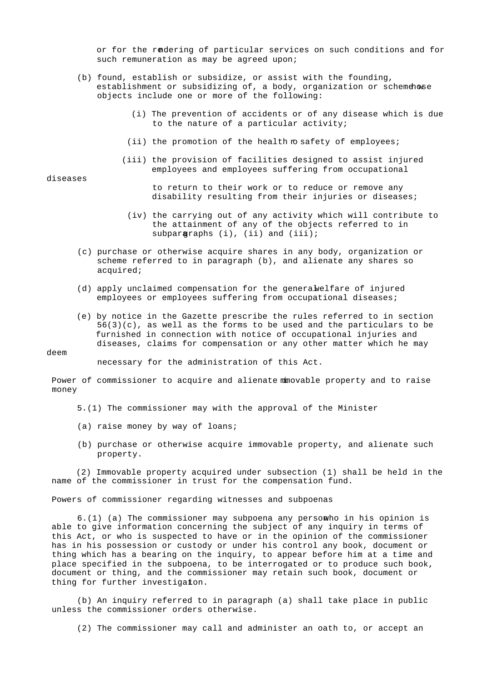or for the rendering of particular services on such conditions and for such remuneration as may be agreed upon;

- (b) found, establish or subsidize, or assist with the founding, establishment or subsidizing of, a body, organization or schemehose objects include one or more of the following:
	- (i) The prevention of accidents or of any disease which is due to the nature of a particular activity;
	- (ii) the promotion of the health  $m$  safety of employees;
	- (iii) the provision of facilities designed to assist injured employees and employees suffering from occupational

#### diseases

 to return to their work or to reduce or remove any disability resulting from their injuries or diseases;

- (iv) the carrying out of any activity which will contribute to the attainment of any of the objects referred to in subparagraphs (i), (ii) and (iii);
- (c) purchase or otherwise acquire shares in any body, organization or scheme referred to in paragraph (b), and alienate any shares so acquired;
- $(d)$  apply unclaimed compensation for the general welfare of injured employees or employees suffering from occupational diseases;
- (e) by notice in the Gazette prescribe the rules referred to in section  $56(3)(c)$ , as well as the forms to be used and the particulars to be furnished in connection with notice of occupational injuries and diseases, claims for compensation or any other matter which he may

#### deem

necessary for the administration of this Act.

Power of commissioner to acquire and alienate minovable property and to raise money

- 5.(1) The commissioner may with the approval of the Minister-
- (a) raise money by way of loans;
- (b) purchase or otherwise acquire immovable property, and alienate such property.

 (2) Immovable property acquired under subsection (1) shall be held in the name of the commissioner in trust for the compensation fund.

Powers of commissioner regarding witnesses and subpoenas

 $6.(1)$  (a) The commissioner may subpoena any persomwho in his opinion is able to give information concerning the subject of any inquiry in terms of this Act, or who is suspected to have or in the opinion of the commissioner has in his possession or custody or under his control any book, document or thing which has a bearing on the inquiry, to appear before him at a time and place specified in the subpoena, to be interrogated or to produce such book, document or thing, and the commissioner may retain such book, document or thing for further investigation.

 (b) An inquiry referred to in paragraph (a) shall take place in public unless the commissioner orders otherwise.

(2) The commissioner may call and administer an oath to, or accept an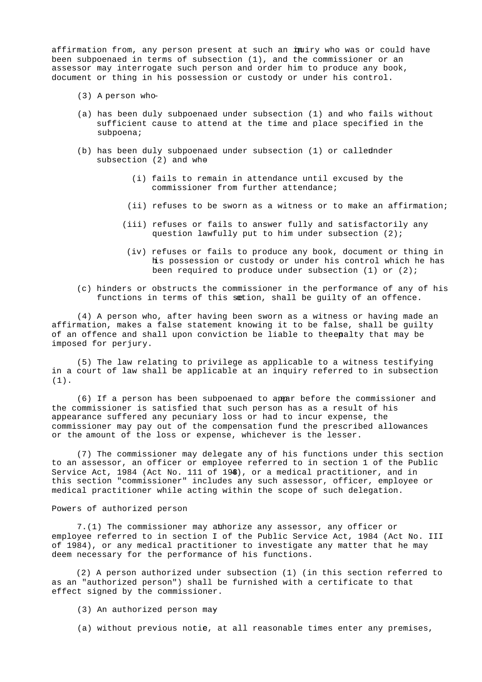affirmation from, any person present at such an inuiry who was or could have been subpoenaed in terms of subsection (1), and the commissioner or an assessor may interrogate such person and order him to produce any book, document or thing in his possession or custody or under his control.

- (3) A person who-
- (a) has been duly subpoenaed under subsection (1) and who fails without sufficient cause to attend at the time and place specified in the subpoena;
- (b) has been duly subpoenaed under subsection  $(1)$  or called nder subsection (2) and whe
	- (i) fails to remain in attendance until excused by the commissioner from further attendance;
	- (ii) refuses to be sworn as a witness or to make an affirmation;
	- (iii) refuses or fails to answer fully and satisfactorily any question lawfully put to him under subsection (2);
		- (iv) refuses or fails to produce any book, document or thing in his possession or custody or under his control which he has been required to produce under subsection (1) or (2);
- (c) hinders or obstructs the commissioner in the performance of any of his functions in terms of this section, shall be guilty of an offence.

 (4) A person who, after having been sworn as a witness or having made an affirmation, makes a false statement knowing it to be false, shall be guilty of an offence and shall upon conviction be liable to the enalty that may be imposed for perjury.

 (5) The law relating to privilege as applicable to a witness testifying in a court of law shall be applicable at an inquiry referred to in subsection (1).

 (6) If a person has been subpoenaed to appear before the commissioner and the commissioner is satisfied that such person has as a result of his appearance suffered any pecuniary loss or had to incur expense, the commissioner may pay out of the compensation fund the prescribed allowances or the amount of the loss or expense, whichever is the lesser.

 (7) The commissioner may delegate any of his functions under this section to an assessor, an officer or employee referred to in section 1 of the Public Service Act, 1984 (Act No. 111 of 194), or a medical practitioner, and in this section "commissioner" includes any such assessor, officer, employee or medical practitioner while acting within the scope of such delegation.

## Powers of authorized person

 7.(1) The commissioner may authorize any assessor, any officer or employee referred to in section I of the Public Service Act, 1984 (Act No. III of 1984), or any medical practitioner to investigate any matter that he may deem necessary for the performance of his functions.

 (2) A person authorized under subsection (1) (in this section referred to as an "authorized person") shall be furnished with a certificate to that effect signed by the commissioner.

- (3) An authorized person may-
- (a) without previous notie, at all reasonable times enter any premises,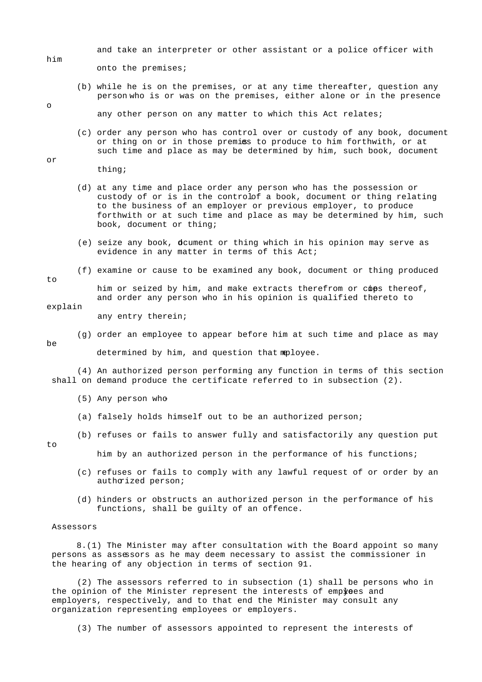and take an interpreter or other assistant or a police officer with

onto the premises;

 (b) while he is on the premises, or at any time thereafter, question any person who is or was on the premises, either alone or in the presence

any other person on any matter to which this Act relates;

 (c) order any person who has control over or custody of any book, document or thing on or in those premiss to produce to him forthwith, or at such time and place as may be determined by him, such book, document

thing;

- (d) at any time and place order any person who has the possession or custody of or is in the controlof a book, document or thing relating to the business of an employer or previous employer, to produce forthwith or at such time and place as may be determined by him, such book, document or thing;
- (e) seize any book, document or thing which in his opinion may serve as evidence in any matter in terms of this Act;
- (f) examine or cause to be examined any book, document or thing produced

him or seized by him, and make extracts therefrom or cops thereof, and order any person who in his opinion is qualified thereto to

explain

to

 $h$ e

any entry therein;

(g) order an employee to appear before him at such time and place as may

determined by him, and question that mployee.

 (4) An authorized person performing any function in terms of this section shall on demand produce the certificate referred to in subsection (2).

- (5) Any person who-
- (a) falsely holds himself out to be an authorized person;
- (b) refuses or fails to answer fully and satisfactorily any question put

to

him by an authorized person in the performance of his functions;

- (c) refuses or fails to comply with any lawful request of or order by an authorized person;
- (d) hinders or obstructs an authorized person in the performance of his functions, shall be guilty of an offence.

#### Assessors

 8.(1) The Minister may after consultation with the Board appoint so many persons as assessors as he may deem necessary to assist the commissioner in the hearing of any objection in terms of section 91.

 (2) The assessors referred to in subsection (1) shall be persons who in the opinion of the Minister represent the interests of empyoes and employers, respectively, and to that end the Minister may consult any organization representing employees or employers.

(3) The number of assessors appointed to represent the interests of

him

o

or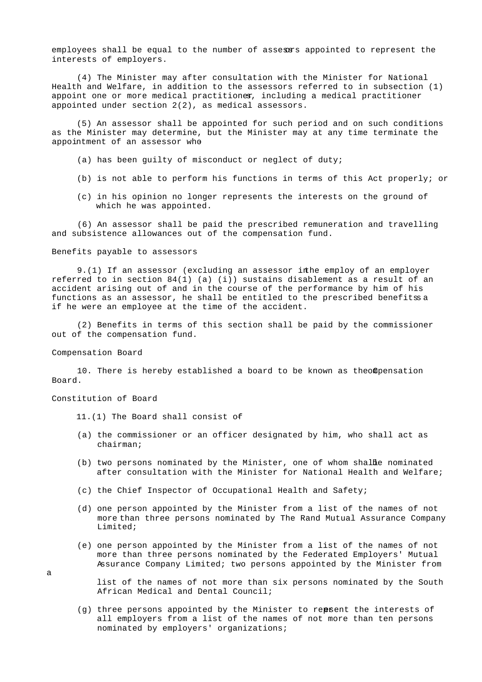employees shall be equal to the number of assesses appointed to represent the interests of employers.

 (4) The Minister may after consultation with the Minister for National Health and Welfare, in addition to the assessors referred to in subsection (1) appoint one or more medical practitioner, including a medical practitioner appointed under section 2(2), as medical assessors.

 (5) An assessor shall be appointed for such period and on such conditions as the Minister may determine, but the Minister may at any time terminate the appointment of an assessor who

- (a) has been guilty of misconduct or neglect of duty;
- (b) is not able to perform his functions in terms of this Act properly; or
- (c) in his opinion no longer represents the interests on the ground of which he was appointed.

 (6) An assessor shall be paid the prescribed remuneration and travelling and subsistence allowances out of the compensation fund.

Benefits payable to assessors

9.(1) If an assessor (excluding an assessor in he employ of an employer referred to in section  $84(1)$  (a) (i)) sustains disablement as a result of an accident arising out of and in the course of the performance by him of his functions as an assessor, he shall be entitled to the prescribed benefits a if he were an employee at the time of the accident.

 (2) Benefits in terms of this section shall be paid by the commissioner out of the compensation fund.

Compensation Board

10. There is hereby established a board to be known as the of pensation Board.

Constitution of Board

11.(1) The Board shall consist of-

- (a) the commissioner or an officer designated by him, who shall act as chairman;
- $(b)$  two persons nominated by the Minister, one of whom shall be nominated after consultation with the Minister for National Health and Welfare;
- (c) the Chief Inspector of Occupational Health and Safety;
- (d) one person appointed by the Minister from a list of the names of not more than three persons nominated by The Rand Mutual Assurance Company Limited;
- (e) one person appointed by the Minister from a list of the names of not more than three persons nominated by the Federated Employers' Mutual Assurance Company Limited; two persons appointed by the Minister from

 list of the names of not more than six persons nominated by the South African Medical and Dental Council;

(g) three persons appointed by the Minister to repsent the interests of all employers from a list of the names of not more than ten persons nominated by employers' organizations;

a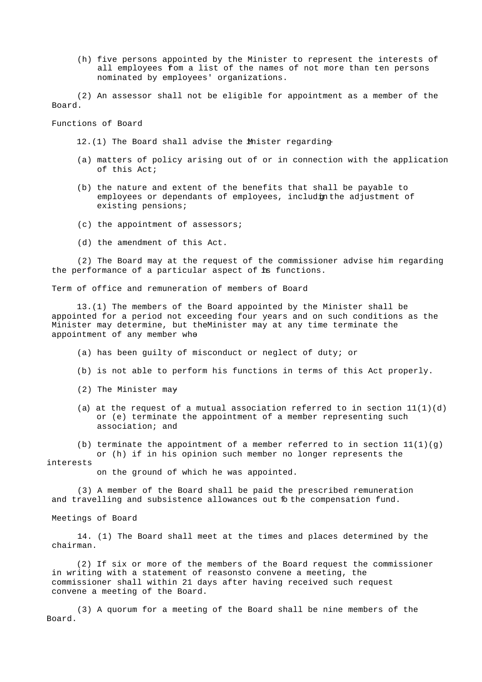(h) five persons appointed by the Minister to represent the interests of all employees from a list of the names of not more than ten persons nominated by employees' organizations.

 (2) An assessor shall not be eligible for appointment as a member of the Board.

Functions of Board

12.(1) The Board shall advise the Mnister regarding-

- (a) matters of policy arising out of or in connection with the application of this Act;
- (b) the nature and extent of the benefits that shall be payable to employees or dependants of employees, includinthe adjustment of existing pensions;
- (c) the appointment of assessors;
- (d) the amendment of this Act.

 (2) The Board may at the request of the commissioner advise him regarding the performance of a particular aspect of is functions.

Term of office and remuneration of members of Board

 13.(1) The members of the Board appointed by the Minister shall be appointed for a period not exceeding four years and on such conditions as the Minister may determine, but the Minister may at any time terminate the appointment of any member whe

(a) has been guilty of misconduct or neglect of duty; or

- (b) is not able to perform his functions in terms of this Act properly.
- (2) The Minister may-
- (a) at the request of a mutual association referred to in section  $11(1)(d)$  or (e) terminate the appointment of a member representing such association; and
- (b) terminate the appointment of a member referred to in section  $11(1)(g)$ or (h) if in his opinion such member no longer represents the

interests

on the ground of which he was appointed.

 (3) A member of the Board shall be paid the prescribed remuneration and travelling and subsistence allowances out fo the compensation fund.

Meetings of Board

 14. (1) The Board shall meet at the times and places determined by the chairman.

 (2) If six or more of the members of the Board request the commissioner in writing with a statement of reasonsto convene a meeting, the commissioner shall within 21 days after having received such request convene a meeting of the Board.

 (3) A quorum for a meeting of the Board shall be nine members of the Board.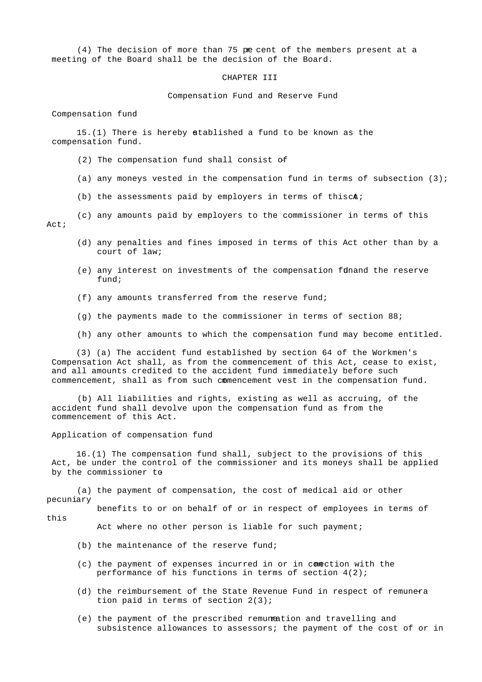(4) The decision of more than 75 pe cent of the members present at a meeting of the Board shall be the decision of the Board.

CHAPTER III

Compensation Fund and Reserve Fund

Compensation fund

 $15.(1)$  There is hereby stablished a fund to be known as the compensation fund.

(2) The compensation fund shall consist of-

(a) any moneys vested in the compensation fund in terms of subsection  $(3)$ ;

(b) the assessments paid by employers in terms of this  $ch$ ;

 (c) any amounts paid by employers to the commissioner in terms of this Act;

- (d) any penalties and fines imposed in terms of this Act other than by a court of law;
- (e) any interest on investments of the compensation funand the reserve fund;
- (f) any amounts transferred from the reserve fund;
- (q) the payments made to the commissioner in terms of section  $88$ ;
- (h) any other amounts to which the compensation fund may become entitled.

 (3) (a) The accident fund established by section 64 of the Workmen's Compensation Act shall, as from the commencement of this Act, cease to exist, and all amounts credited to the accident fund immediately before such commencement, shall as from such commencement vest in the compensation fund.

 (b) All liabilities and rights, existing as well as accruing, of the accident fund shall devolve upon the compensation fund as from the commencement of this Act.

Application of compensation fund

 16.(1) The compensation fund shall, subject to the provisions of this Act, be under the control of the commissioner and its moneys shall be applied by the commissioner to-

 (a) the payment of compensation, the cost of medical aid or other pecuniary

 benefits to or on behalf of or in respect of employees in terms of this

Act where no other person is liable for such payment;

- (b) the maintenance of the reserve fund;
- (c) the payment of expenses incurred in or in comection with the performance of his functions in terms of section 4(2);
- (d) the reimbursement of the State Revenue Fund in respect of remunera tion paid in terms of section 2(3);
- (e) the payment of the prescribed remuneation and travelling and subsistence allowances to assessors; the payment of the cost of or in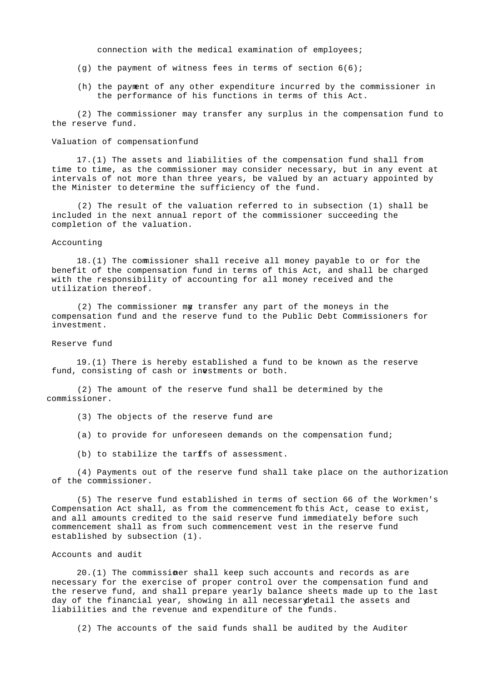connection with the medical examination of employees;

- (q) the payment of witness fees in terms of section  $6(6)$ ;
- (h) the payment of any other expenditure incurred by the commissioner in the performance of his functions in terms of this Act.

 (2) The commissioner may transfer any surplus in the compensation fund to the reserve fund.

#### Valuation of compensation fund

 17.(1) The assets and liabilities of the compensation fund shall from time to time, as the commissioner may consider necessary, but in any event at intervals of not more than three years, be valued by an actuary appointed by the Minister to determine the sufficiency of the fund.

 (2) The result of the valuation referred to in subsection (1) shall be included in the next annual report of the commissioner succeeding the completion of the valuation.

## Accounting

 18.(1) The commissioner shall receive all money payable to or for the benefit of the compensation fund in terms of this Act, and shall be charged with the responsibility of accounting for all money received and the utilization thereof.

(2) The commissioner mg transfer any part of the moneys in the compensation fund and the reserve fund to the Public Debt Commissioners for investment.

# Reserve fund

 19.(1) There is hereby established a fund to be known as the reserve fund, consisting of cash or inestments or both.

 (2) The amount of the reserve fund shall be determined by the commissioner.

- (3) The objects of the reserve fund are
- (a) to provide for unforeseen demands on the compensation fund;
- (b) to stabilize the tarffs of assessment.

 (4) Payments out of the reserve fund shall take place on the authorization of the commissioner.

 (5) The reserve fund established in terms of section 66 of the Workmen's Compensation Act shall, as from the commencement fothis Act, cease to exist, and all amounts credited to the said reserve fund immediately before such commencement shall as from such commencement vest in the reserve fund established by subsection (1).

#### Accounts and audit

 20.(1) The commissioner shall keep such accounts and records as are necessary for the exercise of proper control over the compensation fund and the reserve fund, and shall prepare yearly balance sheets made up to the last day of the financial year, showing in all necessary detail the assets and liabilities and the revenue and expenditure of the funds.

(2) The accounts of the said funds shall be audited by the Auditor-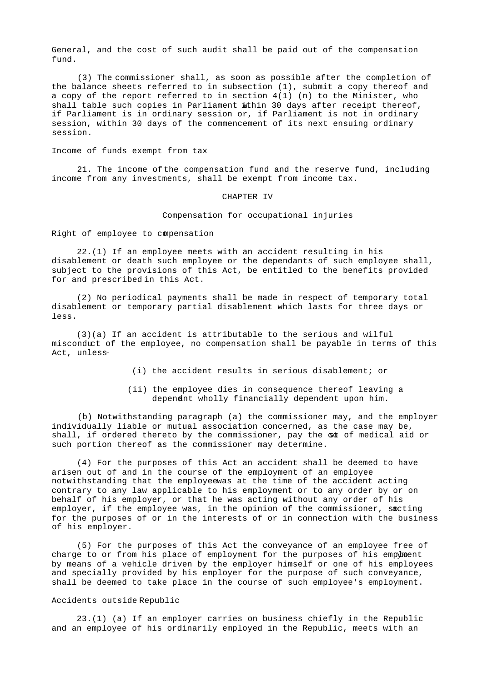General, and the cost of such audit shall be paid out of the compensation fund.

 (3) The commissioner shall, as soon as possible after the completion of the balance sheets referred to in subsection (1), submit a copy thereof and a copy of the report referred to in section  $4(1)$  (n) to the Minister, who shall table such copies in Parliament wthin 30 days after receipt thereof, if Parliament is in ordinary session or, if Parliament is not in ordinary session, within 30 days of the commencement of its next ensuing ordinary session.

Income of funds exempt from tax

 21. The income of the compensation fund and the reserve fund, including income from any investments, shall be exempt from income tax.

#### CHAPTER IV

Compensation for occupational injuries

Right of employee to compensation

 22.(1) If an employee meets with an accident resulting in his disablement or death such employee or the dependants of such employee shall, subject to the provisions of this Act, be entitled to the benefits provided for and prescribed in this Act.

 (2) No periodical payments shall be made in respect of temporary total disablement or temporary partial disablement which lasts for three days or less.

 (3)(a) If an accident is attributable to the serious and wilful misconduct of the employee, no compensation shall be payable in terms of this Act, unless-

- (i) the accident results in serious disablement; or
- (ii) the employee dies in consequence thereof leaving a dependant wholly financially dependent upon him.

 (b) Notwithstanding paragraph (a) the commissioner may, and the employer individually liable or mutual association concerned, as the case may be, shall, if ordered thereto by the commissioner, pay the sot of medical aid or such portion thereof as the commissioner may determine.

 (4) For the purposes of this Act an accident shall be deemed to have arisen out of and in the course of the employment of an employee notwithstanding that the employeewas at the time of the accident acting contrary to any law applicable to his employment or to any order by or on behalf of his employer, or that he was acting without any order of his employer, if the employee was, in the opinion of the commissioner, sacting for the purposes of or in the interests of or in connection with the business of his employer.

 (5) For the purposes of this Act the conveyance of an employee free of charge to or from his place of employment for the purposes of his empyhment by means of a vehicle driven by the employer himself or one of his employees and specially provided by his employer for the purpose of such conveyance, shall be deemed to take place in the course of such employee's employment.

### Accidents outside Republic

 23.(1) (a) If an employer carries on business chiefly in the Republic and an employee of his ordinarily employed in the Republic, meets with an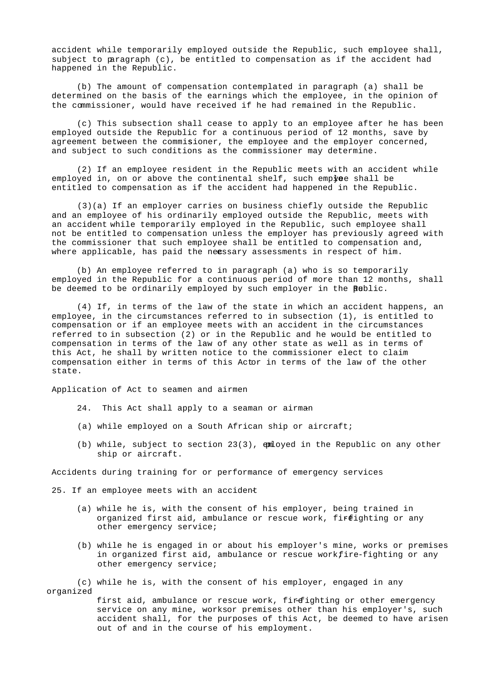accident while temporarily employed outside the Republic, such employee shall, subject to paragraph (c), be entitled to compensation as if the accident had happened in the Republic.

 (b) The amount of compensation contemplated in paragraph (a) shall be determined on the basis of the earnings which the employee, in the opinion of the commissioner, would have received if he had remained in the Republic.

 (c) This subsection shall cease to apply to an employee after he has been employed outside the Republic for a continuous period of 12 months, save by agreement between the commisioner, the employee and the employer concerned, and subject to such conditions as the commissioner may determine.

 (2) If an employee resident in the Republic meets with an accident while employed in, on or above the continental shelf, such employee shall be entitled to compensation as if the accident had happened in the Republic.

 (3)(a) If an employer carries on business chiefly outside the Republic and an employee of his ordinarily employed outside the Republic, meets with an accident while temporarily employed in the Republic, such employee shall not be entitled to compensation unless the employer has previously agreed with the commissioner that such employee shall be entitled to compensation and, where applicable, has paid the neessary assessments in respect of him.

 (b) An employee referred to in paragraph (a) who is so temporarily employed in the Republic for a continuous period of more than 12 months, shall be deemed to be ordinarily employed by such employer in the Bublic.

 (4) If, in terms of the law of the state in which an accident happens, an employee, in the circumstances referred to in subsection (1), is entitled to compensation or if an employee meets with an accident in the circumstances referred to in subsection (2) or in the Republic and he would be entitled to compensation in terms of the law of any other state as well as in terms of this Act, he shall by written notice to the commissioner elect to claim compensation either in terms of this Actor in terms of the law of the other state.

Application of Act to seamen and airmen

- 24. This Act shall apply to a seaman or airman
- (a) while employed on a South African ship or aircraft;
- (b) while, subject to section  $23(3)$ , emloyed in the Republic on any other ship or aircraft.

Accidents during training for or performance of emergency services

25. If an employee meets with an accident

- (a) while he is, with the consent of his employer, being trained in organized first aid, ambulance or rescue work, fireighting or any other emergency service;
- (b) while he is engaged in or about his employer's mine, works or premises in organized first aid, ambulance or rescue workfire-fighting or any other emergency service;

 (c) while he is, with the consent of his employer, engaged in any organized

> first aid, ambulance or rescue work, firefighting or other emergency service on any mine, worksor premises other than his employer's, such accident shall, for the purposes of this Act, be deemed to have arisen out of and in the course of his employment.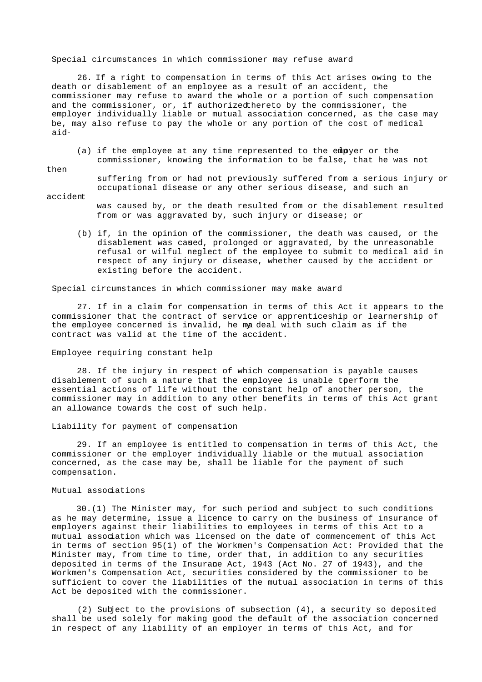Special circumstances in which commissioner may refuse award

 26. If a right to compensation in terms of this Act arises owing to the death or disablement of an employee as a result of an accident, the commissioner may refuse to award the whole or a portion of such compensation and the commissioner, or, if authorizedthereto by the commissioner, the employer individually liable or mutual association concerned, as the case may be, may also refuse to pay the whole or any portion of the cost of medical aid-

(a) if the employee at any time represented to the empyer or the commissioner, knowing the information to be false, that he was not

then

 suffering from or had not previously suffered from a serious injury or occupational disease or any other serious disease, and such an

accident

- was caused by, or the death resulted from or the disablement resulted from or was aggravated by, such injury or disease; or
- (b) if, in the opinion of the commissioner, the death was caused, or the disablement was caused, prolonged or aggravated, by the unreasonable refusal or wilful neglect of the employee to submit to medical aid in respect of any injury or disease, whether caused by the accident or existing before the accident.

Special circumstances in which commissioner may make award

 27. If in a claim for compensation in terms of this Act it appears to the commissioner that the contract of service or apprenticeship or learnership of the employee concerned is invalid, he madeal with such claim as if the contract was valid at the time of the accident.

### Employee requiring constant help

 28. If the injury in respect of which compensation is payable causes disablement of such a nature that the employee is unable tperform the essential actions of life without the constant help of another person, the commissioner may in addition to any other benefits in terms of this Act grant an allowance towards the cost of such help.

## Liability for payment of compensation

 29. If an employee is entitled to compensation in terms of this Act, the commissioner or the employer individually liable or the mutual association concerned, as the case may be, shall be liable for the payment of such compensation.

### Mutual associations

 30.(1) The Minister may, for such period and subject to such conditions as he may determine, issue a licence to carry on the business of insurance of employers against their liabilities to employees in terms of this Act to a mutual association which was licensed on the date of commencement of this Act in terms of section 95(1) of the Workmen's Compensation Act: Provided that the Minister may, from time to time, order that, in addition to any securities deposited in terms of the Insurane Act, 1943 (Act No. 27 of 1943), and the Workmen's Compensation Act, securities considered by the commissioner to be sufficient to cover the liabilities of the mutual association in terms of this Act be deposited with the commissioner.

 (2) Subject to the provisions of subsection (4), a security so deposited shall be used solely for making good the default of the association concerned in respect of any liability of an employer in terms of this Act, and for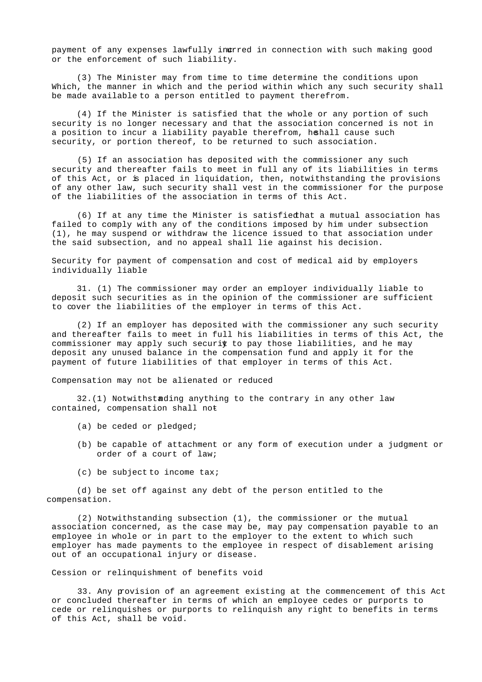payment of any expenses lawfully ingrred in connection with such making good or the enforcement of such liability.

 (3) The Minister may from time to time determine the conditions upon Which, the manner in which and the period within which any such security shall be made available to a person entitled to payment therefrom.

 (4) If the Minister is satisfied that the whole or any portion of such security is no longer necessary and that the association concerned is not in a position to incur a liability payable therefrom, hehall cause such security, or portion thereof, to be returned to such association.

 (5) If an association has deposited with the commissioner any such security and thereafter fails to meet in full any of its liabilities in terms of this Act, or is placed in liquidation, then, notwithstanding the provisions of any other law, such security shall vest in the commissioner for the purpose of the liabilities of the association in terms of this Act.

(6) If at any time the Minister is satisfied hat a mutual association has failed to comply with any of the conditions imposed by him under subsection (1), he may suspend or withdraw the licence issued to that association under the said subsection, and no appeal shall lie against his decision.

Security for payment of compensation and cost of medical aid by employers individually liable

 31. (1) The commissioner may order an employer individually liable to deposit such securities as in the opinion of the commissioner are sufficient to cover the liabilities of the employer in terms of this Act.

 (2) If an employer has deposited with the commissioner any such security and thereafter fails to meet in full his liabilities in terms of this Act, the commissioner may apply such securit to pay those liabilities, and he may deposit any unused balance in the compensation fund and apply it for the payment of future liabilities of that employer in terms of this Act.

Compensation may not be alienated or reduced

 $32.(1)$  Notwithstanding anything to the contrary in any other law contained, compensation shall not-

- (a) be ceded or pledged;
- (b) be capable of attachment or any form of execution under a judgment or order of a court of law;
- (c) be subject to income tax;

 (d) be set off against any debt of the person entitled to the compensation.

 (2) Notwithstanding subsection (1), the commissioner or the mutual association concerned, as the case may be, may pay compensation payable to an employee in whole or in part to the employer to the extent to which such employer has made payments to the employee in respect of disablement arising out of an occupational injury or disease.

Cession or relinquishment of benefits void

 33. Any provision of an agreement existing at the commencement of this Act or concluded thereafter in terms of which an employee cedes or purports to cede or relinquishes or purports to relinquish any right to benefits in terms of this Act, shall be void.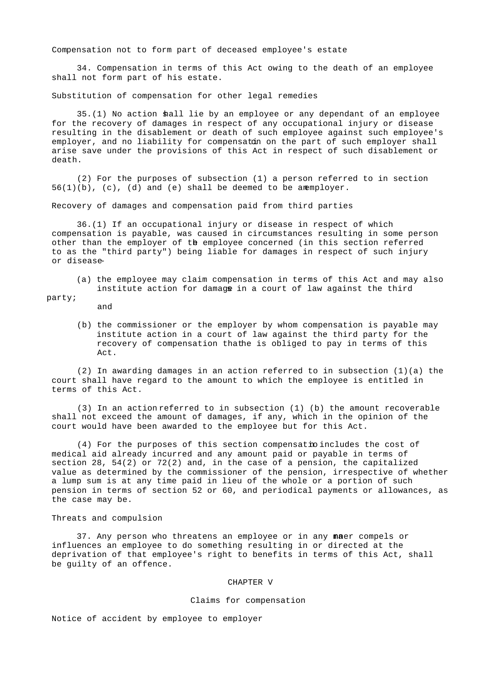Compensation not to form part of deceased employee's estate

 34. Compensation in terms of this Act owing to the death of an employee shall not form part of his estate.

Substitution of compensation for other legal remedies

 35.(1) No action shall lie by an employee or any dependant of an employee for the recovery of damages in respect of any occupational injury or disease resulting in the disablement or death of such employee against such employee's employer, and no liability for compensatin on the part of such employer shall arise save under the provisions of this Act in respect of such disablement or death.

 (2) For the purposes of subsection (1) a person referred to in section  $56(1)(b)$ , (c), (d) and (e) shall be deemed to be an employer.

Recovery of damages and compensation paid from third parties

 36.(1) If an occupational injury or disease in respect of which compensation is payable, was caused in circumstances resulting in some person other than the employer of the employee concerned (in this section referred to as the "third party") being liable for damages in respect of such injury or disease-

 (a) the employee may claim compensation in terms of this Act and may also institute action for damage in a court of law against the third

party;

- and
- (b) the commissioner or the employer by whom compensation is payable may institute action in a court of law against the third party for the recovery of compensation thathe is obliged to pay in terms of this Act.

(2) In awarding damages in an action referred to in subsection  $(1)(a)$  the court shall have regard to the amount to which the employee is entitled in terms of this Act.

 (3) In an action referred to in subsection (1) (b) the amount recoverable shall not exceed the amount of damages, if any, which in the opinion of the court would have been awarded to the employee but for this Act.

(4) For the purposes of this section compensation includes the cost of medical aid already incurred and any amount paid or payable in terms of section 28, 54(2) or 72(2) and, in the case of a pension, the capitalized value as determined by the commissioner of the pension, irrespective of whether a lump sum is at any time paid in lieu of the whole or a portion of such pension in terms of section 52 or 60, and periodical payments or allowances, as the case may be.

### Threats and compulsion

37. Any person who threatens an employee or in any maner compels or influences an employee to do something resulting in or directed at the deprivation of that employee's right to benefits in terms of this Act, shall be guilty of an offence.

#### CHAPTER V

### Claims for compensation

Notice of accident by employee to employer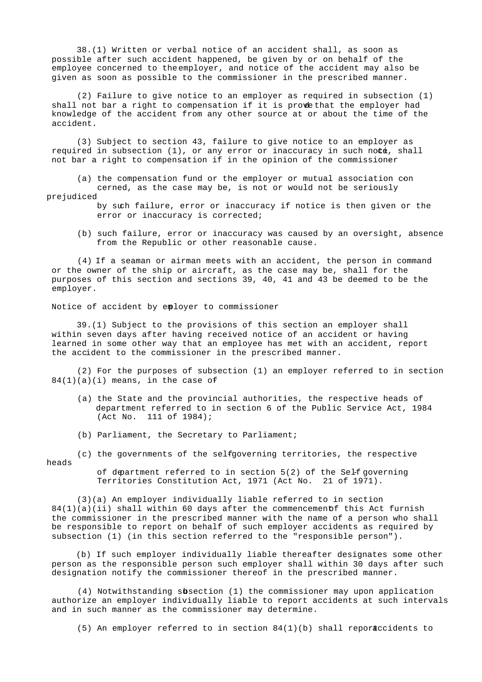38.(1) Written or verbal notice of an accident shall, as soon as possible after such accident happened, be given by or on behalf of the employee concerned to the employer, and notice of the accident may also be given as soon as possible to the commissioner in the prescribed manner.

 (2) Failure to give notice to an employer as required in subsection (1) shall not bar a right to compensation if it is prove that the employer had knowledge of the accident from any other source at or about the time of the accident.

 (3) Subject to section 43, failure to give notice to an employer as required in subsection  $(1)$ , or any error or inaccuracy in such note, shall not bar a right to compensation if in the opinion of the commissioner-

(a) the compensation fund or the employer or mutual association con

 cerned, as the case may be, is not or would not be seriously prejudiced

- by such failure, error or inaccuracy if notice is then given or the error or inaccuracy is corrected;
- (b) such failure, error or inaccuracy was caused by an oversight, absence from the Republic or other reasonable cause.

 (4) If a seaman or airman meets with an accident, the person in command or the owner of the ship or aircraft, as the case may be, shall for the purposes of this section and sections 39, 40, 41 and 43 be deemed to be the employer.

Notice of accident by employer to commissioner

 39.(1) Subject to the provisions of this section an employer shall within seven days after having received notice of an accident or having learned in some other way that an employee has met with an accident, report the accident to the commissioner in the prescribed manner.

 (2) For the purposes of subsection (1) an employer referred to in section  $84(1)(a)(i)$  means, in the case of

- (a) the State and the provincial authorities, the respective heads of department referred to in section 6 of the Public Service Act, 1984 (Act No. 111 of 1984);
- (b) Parliament, the Secretary to Parliament;

(c) the governments of the selfgoverning territories, the respective heads

of department referred to in section  $5(2)$  of the Self governing Territories Constitution Act, 1971 (Act No. 21 of 1971).

 (3)(a) An employer individually liable referred to in section  $84(1)(a)(ii)$  shall within 60 days after the commencement this Act furnish the commissioner in the prescribed manner with the name of a person who shall be responsible to report on behalf of such employer accidents as required by subsection (1) (in this section referred to the "responsible person").

 (b) If such employer individually liable thereafter designates some other person as the responsible person such employer shall within 30 days after such designation notify the commissioner thereof in the prescribed manner.

(4) Notwithstanding subsection (1) the commissioner may upon application authorize an employer individually liable to report accidents at such intervals and in such manner as the commissioner may determine.

(5) An employer referred to in section  $84(1)(b)$  shall report cidents to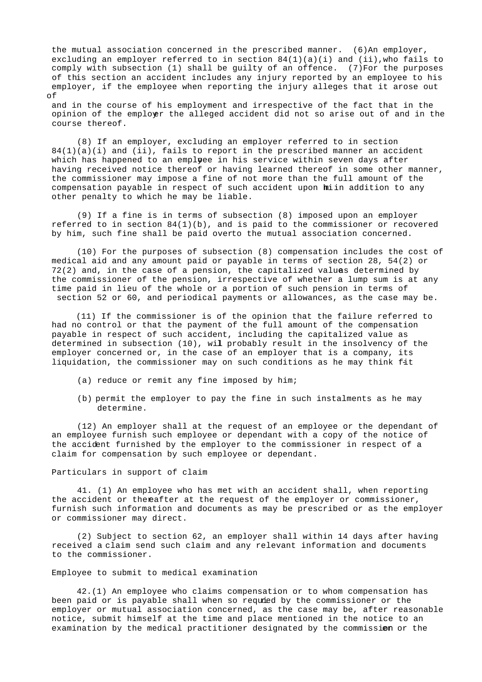the mutual association concerned in the prescribed manner.  $(6)$ An employer, excluding an employer referred to in section  $84(1)(a)(i)$  and (ii), who fails to comply with subsection (1) shall be guilty of an offence. (7)For the purposes of this section an accident includes any injury reported by an employee to his employer, if the employee when reporting the injury alleges that it arose out of

 and in the course of his employment and irrespective of the fact that in the opinion of the employer the alleged accident did not so arise out of and in the course thereof.

 (8) If an employer, excluding an employer referred to in section  $84(1)(a)(i)$  and (ii), fails to report in the prescribed manner an accident which has happened to an emplyee in his service within seven days after having received notice thereof or having learned thereof in some other manner, the commissioner may impose a fine of not more than the full amount of the compensation payable in respect of such accident upon hiin addition to any other penalty to which he may be liable.

 (9) If a fine is in terms of subsection (8) imposed upon an employer referred to in section 84(1)(b), and is paid to the commissioner or recovered by him, such fine shall be paid overto the mutual association concerned.

 (10) For the purposes of subsection (8) compensation includes the cost of medical aid and any amount paid or payable in terms of section 28, 54(2) or  $72(2)$  and, in the case of a pension, the capitalized values determined by the commissioner of the pension, irrespective of whether a lump sum is at any time paid in lieu of the whole or a portion of such pension in terms of section 52 or 60, and periodical payments or allowances, as the case may be.

 (11) If the commissioner is of the opinion that the failure referred to had no control or that the payment of the full amount of the compensation payable in respect of such accident, including the capitalized value as determined in subsection (10), will probably result in the insolvency of the employer concerned or, in the case of an employer that is a company, its liquidation, the commissioner may on such conditions as he may think fit

(a) reduce or remit any fine imposed by him;

 (b) permit the employer to pay the fine in such instalments as he may determine.

 (12) An employer shall at the request of an employee or the dependant of an employee furnish such employee or dependant with a copy of the notice of the accident furnished by the employer to the commissioner in respect of a claim for compensation by such employee or dependant.

### Particulars in support of claim

 41. (1) An employee who has met with an accident shall, when reporting the accident or thereafter at the request of the employer or commissioner, furnish such information and documents as may be prescribed or as the employer or commissioner may direct.

 (2) Subject to section 62, an employer shall within 14 days after having received a claim send such claim and any relevant information and documents to the commissioner.

### Employee to submit to medical examination

 42.(1) An employee who claims compensation or to whom compensation has been paid or is payable shall when so requied by the commissioner or the employer or mutual association concerned, as the case may be, after reasonable notice, submit himself at the time and place mentioned in the notice to an examination by the medical practitioner designated by the commission or the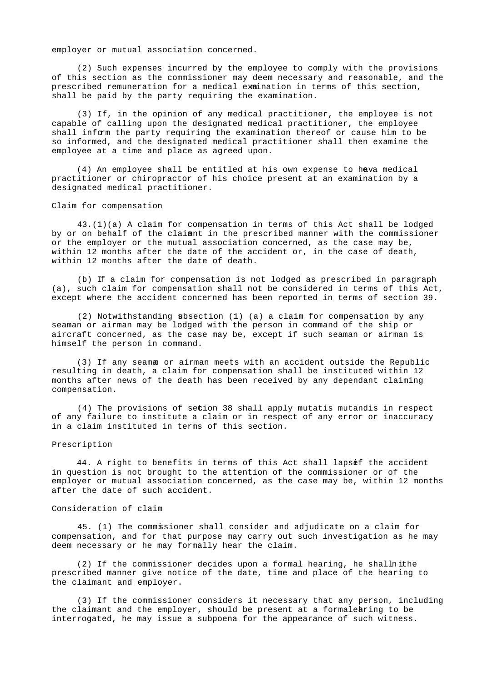employer or mutual association concerned.

 (2) Such expenses incurred by the employee to comply with the provisions of this section as the commissioner may deem necessary and reasonable, and the prescribed remuneration for a medical examination in terms of this section, shall be paid by the party requiring the examination.

 (3) If, in the opinion of any medical practitioner, the employee is not capable of calling upon the designated medical practitioner, the employee shall inform the party requiring the examination thereof or cause him to be so informed, and the designated medical practitioner shall then examine the employee at a time and place as agreed upon.

(4) An employee shall be entitled at his own expense to hava medical practitioner or chiropractor of his choice present at an examination by a designated medical practitioner.

Claim for compensation

 43.(1)(a) A claim for compensation in terms of this Act shall be lodged by or on behalf of the claimant in the prescribed manner with the commissioner or the employer or the mutual association concerned, as the case may be, within 12 months after the date of the accident or, in the case of death, within 12 months after the date of death.

 (b) If a claim for compensation is not lodged as prescribed in paragraph (a), such claim for compensation shall not be considered in terms of this Act, except where the accident concerned has been reported in terms of section 39.

(2) Notwithstanding  $s$ bsection (1) (a) a claim for compensation by any seaman or airman may be lodged with the person in command of the ship or aircraft concerned, as the case may be, except if such seaman or airman is himself the person in command.

 (3) If any seaman or airman meets with an accident outside the Republic resulting in death, a claim for compensation shall be instituted within 12 months after news of the death has been received by any dependant claiming compensation.

 (4) The provisions of section 38 shall apply mutatis mutandis in respect of any failure to institute a claim or in respect of any error or inaccuracy in a claim instituted in terms of this section.

#### Prescription

44. A right to benefits in terms of this Act shall lapsef the accident in question is not brought to the attention of the commissioner or of the employer or mutual association concerned, as the case may be, within 12 months after the date of such accident.

### Consideration of claim

 45. (1) The commissioner shall consider and adjudicate on a claim for compensation, and for that purpose may carry out such investigation as he may deem necessary or he may formally hear the claim.

 $(2)$  If the commissioner decides upon a formal hearing, he shall ithe prescribed manner give notice of the date, time and place of the hearing to the claimant and employer.

 (3) If the commissioner considers it necessary that any person, including the claimant and the employer, should be present at a formal earing to be interrogated, he may issue a subpoena for the appearance of such witness.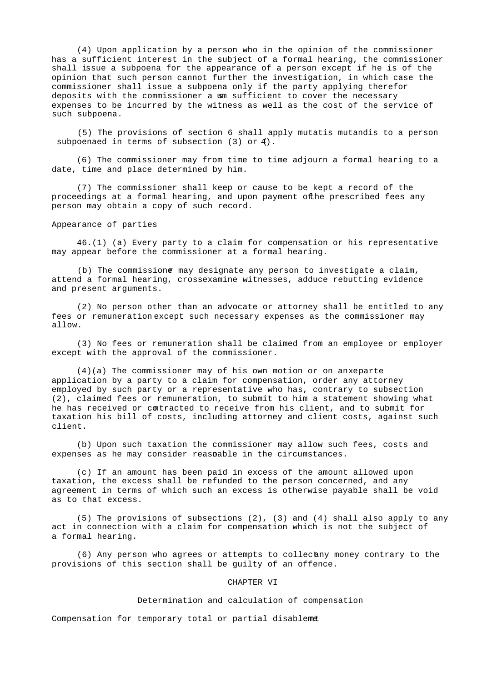(4) Upon application by a person who in the opinion of the commissioner has a sufficient interest in the subject of a formal hearing, the commissioner shall issue a subpoena for the appearance of a person except if he is of the opinion that such person cannot further the investigation, in which case the commissioner shall issue a subpoena only if the party applying therefor deposits with the commissioner a um sufficient to cover the necessary expenses to be incurred by the witness as well as the cost of the service of such subpoena.

 (5) The provisions of section 6 shall apply mutatis mutandis to a person subpoenaed in terms of subsection (3) or  $4$ ).

 (6) The commissioner may from time to time adjourn a formal hearing to a date, time and place determined by him.

 (7) The commissioner shall keep or cause to be kept a record of the proceedings at a formal hearing, and upon payment of the prescribed fees any person may obtain a copy of such record.

Appearance of parties

 46.(1) (a) Every party to a claim for compensation or his representative may appear before the commissioner at a formal hearing.

 (b) The commissioner may designate any person to investigate a claim, attend a formal hearing, crossexamine witnesses, adduce rebutting evidence and present arguments.

 (2) No person other than an advocate or attorney shall be entitled to any fees or remuneration except such necessary expenses as the commissioner may allow.

 (3) No fees or remuneration shall be claimed from an employee or employer except with the approval of the commissioner.

 $(4)(a)$  The commissioner may of his own motion or on anxeparte application by a party to a claim for compensation, order any attorney employed by such party or a representative who has, contrary to subsection (2), claimed fees or remuneration, to submit to him a statement showing what he has received or contracted to receive from his client, and to submit for taxation his bill of costs, including attorney and client costs, against such client.

 (b) Upon such taxation the commissioner may allow such fees, costs and expenses as he may consider reasonable in the circumstances.

 (c) If an amount has been paid in excess of the amount allowed upon taxation, the excess shall be refunded to the person concerned, and any agreement in terms of which such an excess is otherwise payable shall be void as to that excess.

 (5) The provisions of subsections (2), (3) and (4) shall also apply to any act in connection with a claim for compensation which is not the subject of a formal hearing.

 $(6)$  Any person who agrees or attempts to collectany money contrary to the provisions of this section shall be guilty of an offence.

### CHAPTER VI

### Determination and calculation of compensation

Compensation for temporary total or partial disablemet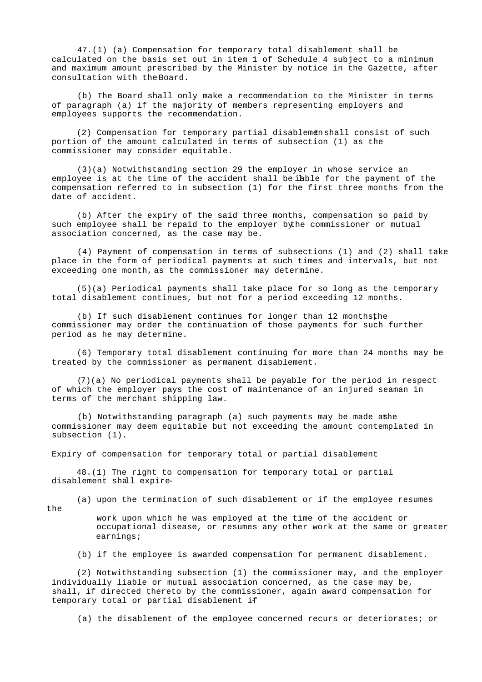47.(1) (a) Compensation for temporary total disablement shall be calculated on the basis set out in item 1 of Schedule 4 subject to a minimum and maximum amount prescribed by the Minister by notice in the Gazette, after consultation with the Board.

 (b) The Board shall only make a recommendation to the Minister in terms of paragraph (a) if the majority of members representing employers and employees supports the recommendation.

(2) Compensation for temporary partial disablemenshall consist of such portion of the amount calculated in terms of subsection (1) as the commissioner may consider equitable.

 (3)(a) Notwithstanding section 29 the employer in whose service an employee is at the time of the accident shall be iable for the payment of the compensation referred to in subsection (1) for the first three months from the date of accident.

 (b) After the expiry of the said three months, compensation so paid by such employee shall be repaid to the employer by he commissioner or mutual association concerned, as the case may be.

 (4) Payment of compensation in terms of subsections (1) and (2) shall take place in the form of periodical payments at such times and intervals, but not exceeding one month, as the commissioner may determine.

 (5)(a) Periodical payments shall take place for so long as the temporary total disablement continues, but not for a period exceeding 12 months.

(b) If such disablement continues for longer than 12 monthsthe commissioner may order the continuation of those payments for such further period as he may determine.

 (6) Temporary total disablement continuing for more than 24 months may be treated by the commissioner as permanent disablement.

 (7)(a) No periodical payments shall be payable for the period in respect of which the employer pays the cost of maintenance of an injured seaman in terms of the merchant shipping law.

(b) Notwithstanding paragraph (a) such payments may be made athe commissioner may deem equitable but not exceeding the amount contemplated in subsection (1).

Expiry of compensation for temporary total or partial disablement

 48.(1) The right to compensation for temporary total or partial disablement shall expire-

the

(a) upon the termination of such disablement or if the employee resumes

 work upon which he was employed at the time of the accident or occupational disease, or resumes any other work at the same or greater earnings;

(b) if the employee is awarded compensation for permanent disablement.

 (2) Notwithstanding subsection (1) the commissioner may, and the employer individually liable or mutual association concerned, as the case may be, shall, if directed thereto by the commissioner, again award compensation for temporary total or partial disablement if-

(a) the disablement of the employee concerned recurs or deteriorates; or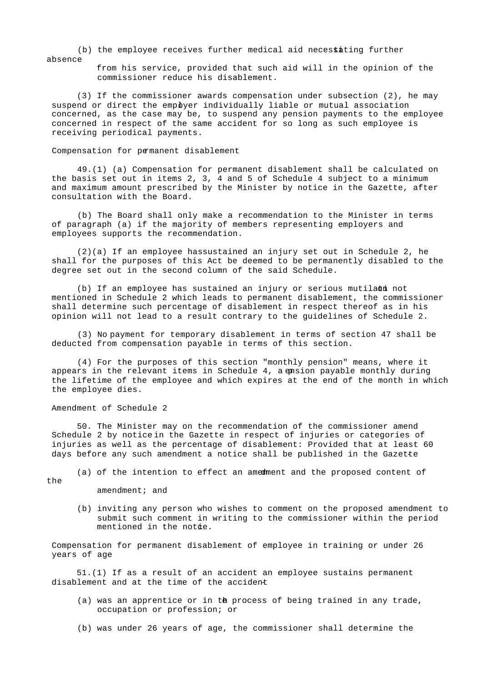(b) the employee receives further medical aid necessating further absence

> from his service, provided that such aid will in the opinion of the commissioner reduce his disablement.

 (3) If the commissioner awards compensation under subsection (2), he may suspend or direct the empbyer individually liable or mutual association concerned, as the case may be, to suspend any pension payments to the employee concerned in respect of the same accident for so long as such employee is receiving periodical payments.

Compensation for permanent disablement

 49.(1) (a) Compensation for permanent disablement shall be calculated on the basis set out in items 2, 3, 4 and 5 of Schedule 4 subject to a minimum and maximum amount prescribed by the Minister by notice in the Gazette, after consultation with the Board.

 (b) The Board shall only make a recommendation to the Minister in terms of paragraph (a) if the majority of members representing employers and employees supports the recommendation.

 $(2)(a)$  If an employee has sustained an injury set out in Schedule 2, he shall for the purposes of this Act be deemed to be permanently disabled to the degree set out in the second column of the said Schedule.

(b) If an employee has sustained an injury or serious mutilaom not mentioned in Schedule 2 which leads to permanent disablement, the commissioner shall determine such percentage of disablement in respect thereof as in his opinion will not lead to a result contrary to the guidelines of Schedule 2.

 (3) No payment for temporary disablement in terms of section 47 shall be deducted from compensation payable in terms of this section.

 (4) For the purposes of this section "monthly pension" means, where it appears in the relevant items in Schedule  $4$ , a emsion payable monthly during the lifetime of the employee and which expires at the end of the month in which the employee dies.

Amendment of Schedule 2

 50. The Minister may on the recommendation of the commissioner amend Schedule 2 by notice in the Gazette in respect of injuries or categories of injuries as well as the percentage of disablement: Provided that at least 60 days before any such amendment a notice shall be published in the Gazette

the

(a) of the intention to effect an amedment and the proposed content of

amendment; and

 (b) inviting any person who wishes to comment on the proposed amendment to submit such comment in writing to the commissioner within the period mentioned in the notie.

 Compensation for permanent disablement of employee in training or under 26 years of age

 51.(1) If as a result of an accident an employee sustains permanent disablement and at the time of the accident-

- (a) was an apprentice or in the process of being trained in any trade, occupation or profession; or
- (b) was under 26 years of age, the commissioner shall determine the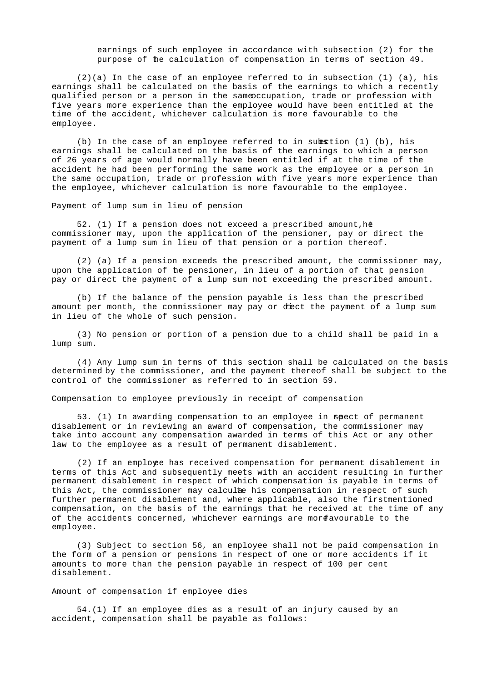earnings of such employee in accordance with subsection (2) for the purpose of the calculation of compensation in terms of section 49.

 $(2)(a)$  In the case of an employee referred to in subsection  $(1)$   $(a)$ , his earnings shall be calculated on the basis of the earnings to which a recently qualified person or a person in the same ocupation, trade or profession with five years more experience than the employee would have been entitled at the time of the accident, whichever calculation is more favourable to the employee.

(b) In the case of an employee referred to in subsection  $(1)$  (b), his earnings shall be calculated on the basis of the earnings to which a person of 26 years of age would normally have been entitled if at the time of the accident he had been performing the same work as the employee or a person in the same occupation, trade or profession with five years more experience than the employee, whichever calculation is more favourable to the employee.

Payment of lump sum in lieu of pension

52. (1) If a pension does not exceed a prescribed amount, he commissioner may, upon the application of the pensioner, pay or direct the payment of a lump sum in lieu of that pension or a portion thereof.

 (2) (a) If a pension exceeds the prescribed amount, the commissioner may, upon the application of the pensioner, in lieu of a portion of that pension pay or direct the payment of a lump sum not exceeding the prescribed amount.

 (b) If the balance of the pension payable is less than the prescribed amount per month, the commissioner may pay or diect the payment of a lump sum in lieu of the whole of such pension.

 (3) No pension or portion of a pension due to a child shall be paid in a lump sum.

 (4) Any lump sum in terms of this section shall be calculated on the basis determined by the commissioner, and the payment thereof shall be subject to the control of the commissioner as referred to in section 59.

Compensation to employee previously in receipt of compensation

53. (1) In awarding compensation to an employee in  $spect$  of permanent disablement or in reviewing an award of compensation, the commissioner may take into account any compensation awarded in terms of this Act or any other law to the employee as a result of permanent disablement.

 (2) If an employee has received compensation for permanent disablement in terms of this Act and subsequently meets with an accident resulting in further permanent disablement in respect of which compensation is payable in terms of this Act, the commissioner may calculte his compensation in respect of such further permanent disablement and, where applicable, also the firstmentioned compensation, on the basis of the earnings that he received at the time of any of the accidents concerned, whichever earnings are more avourable to the employee.

 (3) Subject to section 56, an employee shall not be paid compensation in the form of a pension or pensions in respect of one or more accidents if it amounts to more than the pension payable in respect of 100 per cent disablement.

Amount of compensation if employee dies

 54.(1) If an employee dies as a result of an injury caused by an accident, compensation shall be payable as follows: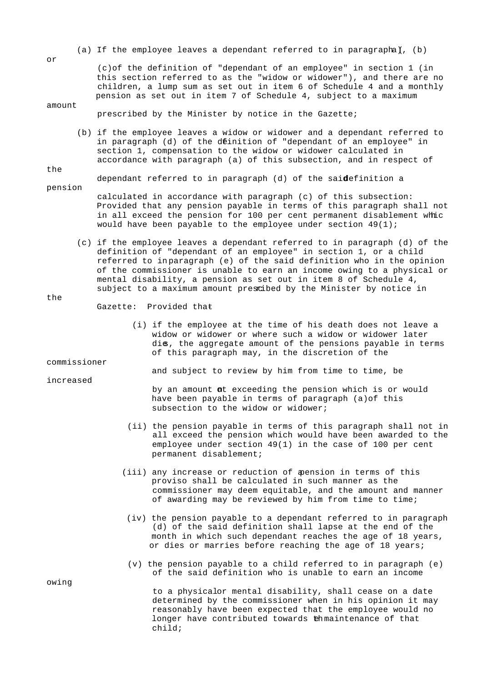(a) If the employee leaves a dependant referred to in paragrapha), (b)

 (c)of the definition of "dependant of an employee" in section 1 (in this section referred to as the "widow or widower"), and there are no children, a lump sum as set out in item 6 of Schedule 4 and a monthly pension as set out in item 7 of Schedule 4, subject to a maximum

prescribed by the Minister by notice in the Gazette;

 (b) if the employee leaves a widow or widower and a dependant referred to in paragraph (d) of the definition of "dependant of an employee" in section 1, compensation to the widow or widower calculated in accordance with paragraph (a) of this subsection, and in respect of

dependant referred to in paragraph  $(d)$  of the said efinition a

- pension calculated in accordance with paragraph (c) of this subsection: Provided that any pension payable in terms of this paragraph shall not in all exceed the pension for 100 per cent permanent disablement whic would have been payable to the employee under section  $49(1)$ ;
	- (c) if the employee leaves a dependant referred to in paragraph (d) of the definition of "dependant of an employee" in section 1, or a child referred to in paragraph (e) of the said definition who in the opinion of the commissioner is unable to earn an income owing to a physical or mental disability, a pension as set out in item 8 of Schedule 4, subject to a maximum amount prescibed by the Minister by notice in

the

- Gazette: Provided that-
	- (i) if the employee at the time of his death does not leave a widow or widower or where such a widow or widower later dies, the aggregate amount of the pensions payable in terms of this paragraph may, in the discretion of the

commissioner

increased

and subject to review by him from time to time, be

by an amount at exceeding the pension which is or would have been payable in terms of paragraph (a)of this subsection to the widow or widower;

- (ii) the pension payable in terms of this paragraph shall not in all exceed the pension which would have been awarded to the employee under section 49(1) in the case of 100 per cent permanent disablement;
- (iii) any increase or reduction of  $\phi$  ension in terms of this proviso shall be calculated in such manner as the commissioner may deem equitable, and the amount and manner of awarding may be reviewed by him from time to time;
- (iv) the pension payable to a dependant referred to in paragraph (d) of the said definition shall lapse at the end of the month in which such dependant reaches the age of 18 years, or dies or marries before reaching the age of 18 years;
- (v) the pension payable to a child referred to in paragraph (e) of the said definition who is unable to earn an income

to a physicalor mental disability, shall cease on a date determined by the commissioner when in his opinion it may reasonably have been expected that the employee would no longer have contributed towards the maintenance of that child;

owing

or

amount

the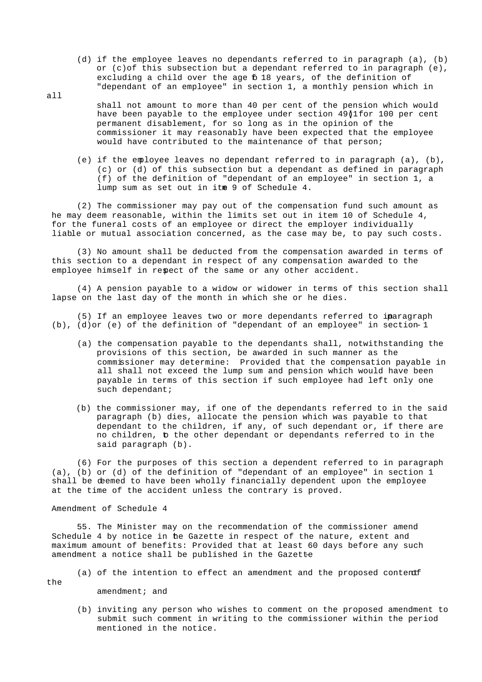- (d) if the employee leaves no dependants referred to in paragraph (a), (b) or (c)of this subsection but a dependant referred to in paragraph (e), excluding a child over the age 6 18 years, of the definition of "dependant of an employee" in section 1, a monthly pension which in
- shall not amount to more than 40 per cent of the pension which would have been payable to the employee under section  $49$  $|1$ for 100 per cent permanent disablement, for so long as in the opinion of the commissioner it may reasonably have been expected that the employee would have contributed to the maintenance of that person;
	- (e) if the employee leaves no dependant referred to in paragraph (a), (b), (c) or (d) of this subsection but a dependant as defined in paragraph (f) of the definition of "dependant of an employee" in section 1, a lump sum as set out in itme 9 of Schedule 4.

 (2) The commissioner may pay out of the compensation fund such amount as he may deem reasonable, within the limits set out in item 10 of Schedule 4, for the funeral costs of an employee or direct the employer individually liable or mutual association concerned, as the case may be, to pay such costs.

 (3) No amount shall be deducted from the compensation awarded in terms of this section to a dependant in respect of any compensation awarded to the employee himself in repect of the same or any other accident.

 (4) A pension payable to a widow or widower in terms of this section shall lapse on the last day of the month in which she or he dies.

(5) If an employee leaves two or more dependants referred to inaragraph (b), (d)or (e) of the definition of "dependant of an employee" in section-1

- (a) the compensation payable to the dependants shall, notwithstanding the provisions of this section, be awarded in such manner as the commissioner may determine: Provided that the compensation payable in all shall not exceed the lump sum and pension which would have been payable in terms of this section if such employee had left only one such dependant;
- (b) the commissioner may, if one of the dependants referred to in the said paragraph (b) dies, allocate the pension which was payable to that dependant to the children, if any, of such dependant or, if there are no children, to the other dependant or dependants referred to in the said paragraph (b).

 (6) For the purposes of this section a dependent referred to in paragraph (a), (b) or (d) of the definition of "dependant of an employee" in section 1 shall be deemed to have been wholly financially dependent upon the employee at the time of the accident unless the contrary is proved.

Amendment of Schedule 4

 55. The Minister may on the recommendation of the commissioner amend Schedule 4 by notice in he Gazette in respect of the nature, extent and maximum amount of benefits: Provided that at least 60 days before any such amendment a notice shall be published in the Gazette-

(a) of the intention to effect an amendment and the proposed content

the

all

amendment; and

 (b) inviting any person who wishes to comment on the proposed amendment to submit such comment in writing to the commissioner within the period mentioned in the notice.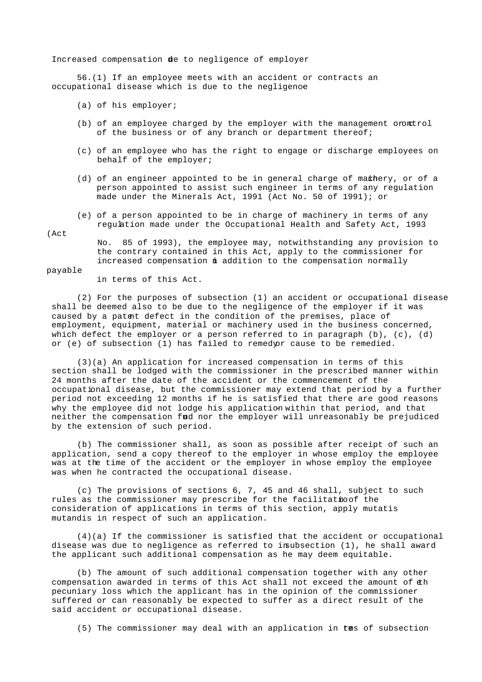Increased compensation de to negligence of employer

 56.(1) If an employee meets with an accident or contracts an occupational disease which is due to the negligence

- (a) of his employer;
- (b) of an employee charged by the employer with the management oromtrol of the business or of any branch or department thereof;
- (c) of an employee who has the right to engage or discharge employees on behalf of the employer;
- (d) of an engineer appointed to be in general charge of mathery, or of a person appointed to assist such engineer in terms of any regulation made under the Minerals Act, 1991 (Act No. 50 of 1991); or
- (e) of a person appointed to be in charge of machinery in terms of any regulation made under the Occupational Health and Safety Act, 1993

(Act

 No. 85 of 1993), the employee may, notwithstanding any provision to the contrary contained in this Act, apply to the commissioner for increased compensation in addition to the compensation normally

#### payable

in terms of this Act.

 (2) For the purposes of subsection (1) an accident or occupational disease shall be deemed also to be due to the negligence of the employer if it was caused by a patent defect in the condition of the premises, place of employment, equipment, material or machinery used in the business concerned, which defect the employer or a person referred to in paragraph  $(b)$ ,  $(c)$ ,  $(d)$ or (e) of subsection (1) has failed to remedyor cause to be remedied.

 (3)(a) An application for increased compensation in terms of this section shall be lodged with the commissioner in the prescribed manner within 24 months after the date of the accident or the commencement of the occupational disease, but the commissioner may extend that period by a further period not exceeding 12 months if he is satisfied that there are good reasons why the employee did not lodge his application within that period, and that neither the compensation fud nor the employer will unreasonably be prejudiced by the extension of such period.

 (b) The commissioner shall, as soon as possible after receipt of such an application, send a copy thereof to the employer in whose employ the employee was at the time of the accident or the employer in whose employ the employee was when he contracted the occupational disease.

 (c) The provisions of sections 6, 7, 45 and 46 shall, subject to such rules as the commissioner may prescribe for the facilitatioof the consideration of applications in terms of this section, apply mutatis mutandis in respect of such an application.

 (4)(a) If the commissioner is satisfied that the accident or occupational disease was due to negligence as referred to insubsection (1), he shall award the applicant such additional compensation as he may deem equitable.

 (b) The amount of such additional compensation together with any other compensation awarded in terms of this Act shall not exceed the amount of  $\pm h$  pecuniary loss which the applicant has in the opinion of the commissioner suffered or can reasonably be expected to suffer as a direct result of the said accident or occupational disease.

 $(5)$  The commissioner may deal with an application in tas of subsection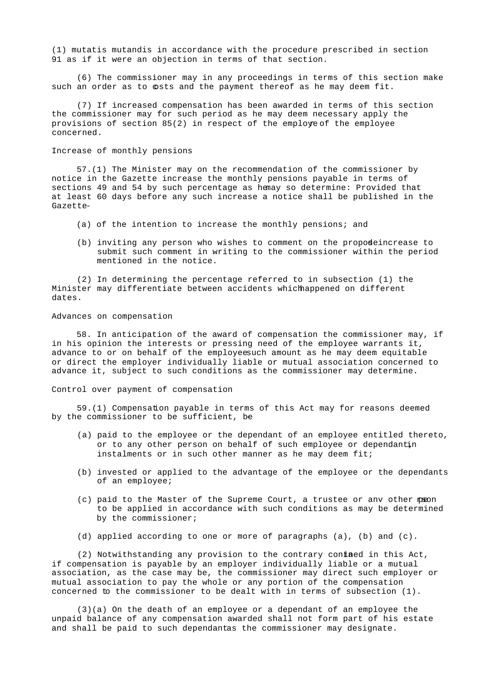(1) mutatis mutandis in accordance with the procedure prescribed in section 91 as if it were an objection in terms of that section.

 (6) The commissioner may in any proceedings in terms of this section make such an order as to osts and the payment thereof as he may deem fit.

 (7) If increased compensation has been awarded in terms of this section the commissioner may for such period as he may deem necessary apply the provisions of section  $85(2)$  in respect of the employee the employee concerned.

### Increase of monthly pensions

 57.(1) The Minister may on the recommendation of the commissioner by notice in the Gazette increase the monthly pensions payable in terms of sections 49 and 54 by such percentage as hemay so determine: Provided that at least 60 days before any such increase a notice shall be published in the Gazette-

- (a) of the intention to increase the monthly pensions; and
- (b) inviting any person who wishes to comment on the propodeincrease to submit such comment in writing to the commissioner within the period mentioned in the notice.

 (2) In determining the percentage referred to in subsection (1) the Minister may differentiate between accidents which happened on different dates.

### Advances on compensation

 58. In anticipation of the award of compensation the commissioner may, if in his opinion the interests or pressing need of the employee warrants it, advance to or on behalf of the employee such amount as he may deem equitable or direct the employer individually liable or mutual association concerned to advance it, subject to such conditions as the commissioner may determine.

Control over payment of compensation

 59.(1) Compensation payable in terms of this Act may for reasons deemed by the commissioner to be sufficient, be-

- (a) paid to the employee or the dependant of an employee entitled thereto, or to any other person on behalf of such employee or dependantin instalments or in such other manner as he may deem fit;
- (b) invested or applied to the advantage of the employee or the dependants of an employee;
- $(c)$  paid to the Master of the Supreme Court, a trustee or any other  $p$  and to be applied in accordance with such conditions as may be determined by the commissioner;
- (d) applied according to one or more of paragraphs (a), (b) and (c).

 $(2)$  Notwithstanding any provision to the contrary contaed in this Act, if compensation is payable by an employer individually liable or a mutual association, as the case may be, the commissioner may direct such employer or mutual association to pay the whole or any portion of the compensation concerned to the commissioner to be dealt with in terms of subsection (1).

 (3)(a) On the death of an employee or a dependant of an employee the unpaid balance of any compensation awarded shall not form part of his estate and shall be paid to such dependantas the commissioner may designate.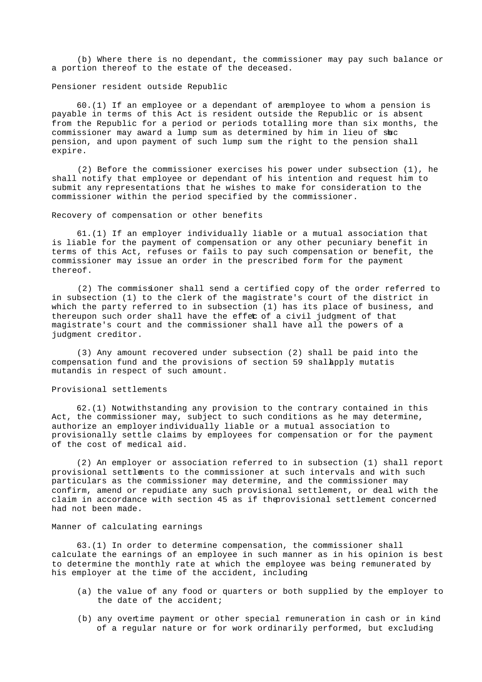(b) Where there is no dependant, the commissioner may pay such balance or a portion thereof to the estate of the deceased.

Pensioner resident outside Republic

 $60.(1)$  If an employee or a dependant of an employee to whom a pension is payable in terms of this Act is resident outside the Republic or is absent from the Republic for a period or periods totalling more than six months, the commissioner may award a lump sum as determined by him in lieu of shc pension, and upon payment of such lump sum the right to the pension shall expire.

 (2) Before the commissioner exercises his power under subsection (1), he shall notify that employee or dependant of his intention and request him to submit any representations that he wishes to make for consideration to the commissioner within the period specified by the commissioner.

### Recovery of compensation or other benefits

 61.(1) If an employer individually liable or a mutual association that is liable for the payment of compensation or any other pecuniary benefit in terms of this Act, refuses or fails to pay such compensation or benefit, the commissioner may issue an order in the prescribed form for the payment thereof.

 (2) The commissioner shall send a certified copy of the order referred to in subsection (1) to the clerk of the magistrate's court of the district in which the party referred to in subsection (1) has its place of business, and thereupon such order shall have the effec of a civil judgment of that magistrate's court and the commissioner shall have all the powers of a judgment creditor.

 (3) Any amount recovered under subsection (2) shall be paid into the compensation fund and the provisions of section 59 shallapply mutatis mutandis in respect of such amount.

### Provisional settlements

 62.(1) Notwithstanding any provision to the contrary contained in this Act, the commissioner may, subject to such conditions as he may determine, authorize an employer individually liable or a mutual association to provisionally settle claims by employees for compensation or for the payment of the cost of medical aid.

 (2) An employer or association referred to in subsection (1) shall report provisional settlements to the commissioner at such intervals and with such particulars as the commissioner may determine, and the commissioner may confirm, amend or repudiate any such provisional settlement, or deal with the claim in accordance with section 45 as if the provisional settlement concerned had not been made.

### Manner of calculating earnings

 63.(1) In order to determine compensation, the commissioner shall calculate the earnings of an employee in such manner as in his opinion is best to determine the monthly rate at which the employee was being remunerated by his employer at the time of the accident, including-

- (a) the value of any food or quarters or both supplied by the employer to the date of the accident;
- (b) any overtime payment or other special remuneration in cash or in kind of a regular nature or for work ordinarily performed, but excluding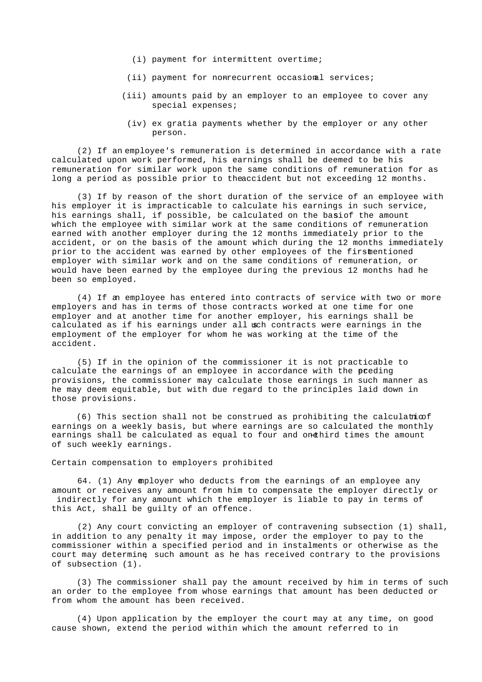- (i) payment for intermittent overtime;
- $(i)$  payment for nonrecurrent occasional services;
- (iii) amounts paid by an employer to an employee to cover any special expenses;
	- (iv) ex gratia payments whether by the employer or any other person.

 (2) If an employee's remuneration is determined in accordance with a rate calculated upon work performed, his earnings shall be deemed to be his remuneration for similar work upon the same conditions of remuneration for as long a period as possible prior to the accident but not exceeding 12 months.

 (3) If by reason of the short duration of the service of an employee with his employer it is impracticable to calculate his earnings in such service, his earnings shall, if possible, be calculated on the basiof the amount which the employee with similar work at the same conditions of remuneration earned with another employer during the 12 months immediately prior to the accident, or on the basis of the amount which during the 12 months immediately prior to the accident was earned by other employees of the firstmentioned employer with similar work and on the same conditions of remuneration, or would have been earned by the employee during the previous 12 months had he been so employed.

 (4) If an employee has entered into contracts of service with two or more employers and has in terms of those contracts worked at one time for one employer and at another time for another employer, his earnings shall be calculated as if his earnings under all woch contracts were earnings in the employment of the employer for whom he was working at the time of the accident.

 (5) If in the opinion of the commissioner it is not practicable to calculate the earnings of an employee in accordance with the preding provisions, the commissioner may calculate those earnings in such manner as he may deem equitable, but with due regard to the principles laid down in those provisions.

(6) This section shall not be construed as prohibiting the calculation earnings on a weekly basis, but where earnings are so calculated the monthly earnings shall be calculated as equal to four and onethird times the amount of such weekly earnings.

Certain compensation to employers prohibited

 64. (1) Any employer who deducts from the earnings of an employee any amount or receives any amount from him to compensate the employer directly or indirectly for any amount which the employer is liable to pay in terms of this Act, shall be guilty of an offence.

 (2) Any court convicting an employer of contravening subsection (1) shall, in addition to any penalty it may impose, order the employer to pay to the commissioner within a specified period and in instalments or otherwise as the court may determine, such amount as he has received contrary to the provisions of subsection (1).

 (3) The commissioner shall pay the amount received by him in terms of such an order to the employee from whose earnings that amount has been deducted or from whom the amount has been received.

 (4) Upon application by the employer the court may at any time, on good cause shown, extend the period within which the amount referred to in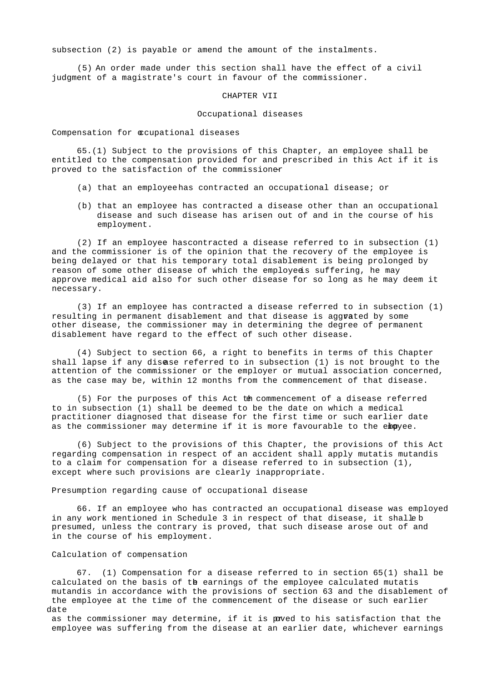subsection (2) is payable or amend the amount of the instalments.

 (5) An order made under this section shall have the effect of a civil judgment of a magistrate's court in favour of the commissioner.

### CHAPTER VII

### Occupational diseases

Compensation for **c**cupational diseases

 65.(1) Subject to the provisions of this Chapter, an employee shall be entitled to the compensation provided for and prescribed in this Act if it is proved to the satisfaction of the commissioner

- (a) that an employee has contracted an occupational disease; or
- (b) that an employee has contracted a disease other than an occupational disease and such disease has arisen out of and in the course of his employment.

(2) If an employee has contracted a disease referred to in subsection  $(1)$  and the commissioner is of the opinion that the recovery of the employee is being delayed or that his temporary total disablement is being prolonged by reason of some other disease of which the employeds suffering, he may approve medical aid also for such other disease for so long as he may deem it necessary.

 (3) If an employee has contracted a disease referred to in subsection (1) resulting in permanent disablement and that disease is aggrated by some other disease, the commissioner may in determining the degree of permanent disablement have regard to the effect of such other disease.

 (4) Subject to section 66, a right to benefits in terms of this Chapter shall lapse if any disease referred to in subsection (1) is not brought to the attention of the commissioner or the employer or mutual association concerned, as the case may be, within 12 months from the commencement of that disease.

 (5) For the purposes of this Act the commencement of a disease referred to in subsection (1) shall be deemed to be the date on which a medical practitioner diagnosed that disease for the first time or such earlier date as the commissioner may determine if it is more favourable to the empyee.

 (6) Subject to the provisions of this Chapter, the provisions of this Act regarding compensation in respect of an accident shall apply mutatis mutandis to a claim for compensation for a disease referred to in subsection (1), except where such provisions are clearly inappropriate.

Presumption regarding cause of occupational disease

 66. If an employee who has contracted an occupational disease was employed in any work mentioned in Schedule 3 in respect of that disease, it shalleb presumed, unless the contrary is proved, that such disease arose out of and in the course of his employment.

### Calculation of compensation

 67. (1) Compensation for a disease referred to in section 65(1) shall be calculated on the basis of the earnings of the employee calculated mutatis mutandis in accordance with the provisions of section 63 and the disablement of the employee at the time of the commencement of the disease or such earlier date

as the commissioner may determine, if it is paved to his satisfaction that the employee was suffering from the disease at an earlier date, whichever earnings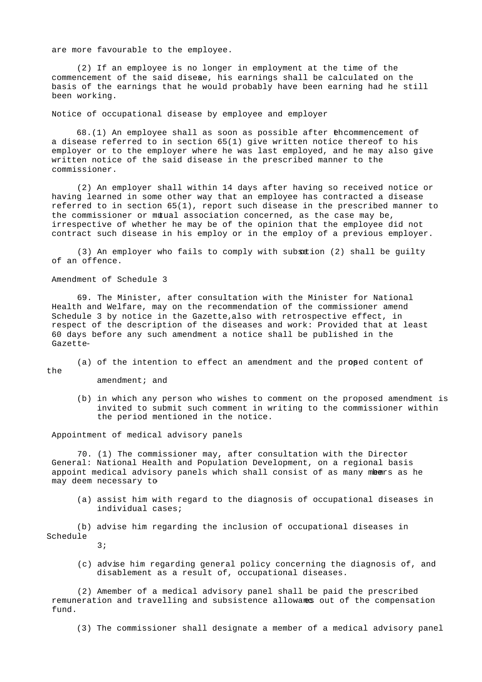are more favourable to the employee.

 (2) If an employee is no longer in employment at the time of the commencement of the said disease, his earnings shall be calculated on the basis of the earnings that he would probably have been earning had he still been working.

Notice of occupational disease by employee and employer

 68.(1) An employee shall as soon as possible after the commencement of a disease referred to in section 65(1) give written notice thereof to his employer or to the employer where he was last employed, and he may also give written notice of the said disease in the prescribed manner to the commissioner.

 (2) An employer shall within 14 days after having so received notice or having learned in some other way that an employee has contracted a disease referred to in section 65(1), report such disease in the prescribed manner to the commissioner or mtual association concerned, as the case may be, irrespective of whether he may be of the opinion that the employee did not contract such disease in his employ or in the employ of a previous employer.

(3) An employer who fails to comply with subsection (2) shall be guilty of an offence.

Amendment of Schedule 3

 69. The Minister, after consultation with the Minister for National Health and Welfare, may on the recommendation of the commissioner amend Schedule 3 by notice in the Gazette, also with retrospective effect, in respect of the description of the diseases and work: Provided that at least 60 days before any such amendment a notice shall be published in the Gazette-

 (a) of the intention to effect an amendment and the propsed content of the

amendment; and

 (b) in which any person who wishes to comment on the proposed amendment is invited to submit such comment in writing to the commissioner within the period mentioned in the notice.

Appointment of medical advisory panels

 70. (1) The commissioner may, after consultation with the Director- General: National Health and Population Development, on a regional basis appoint medical advisory panels which shall consist of as many mbears as he may deem necessary to-

 (a) assist him with regard to the diagnosis of occupational diseases in individual cases;

 (b) advise him regarding the inclusion of occupational diseases in Schedule

3;

 (c) advise him regarding general policy concerning the diagnosis of, and disablement as a result of, occupational diseases.

 (2) Amember of a medical advisory panel shall be paid the prescribed remuneration and travelling and subsistence allowanes out of the compensation fund.

(3) The commissioner shall designate a member of a medical advisory panel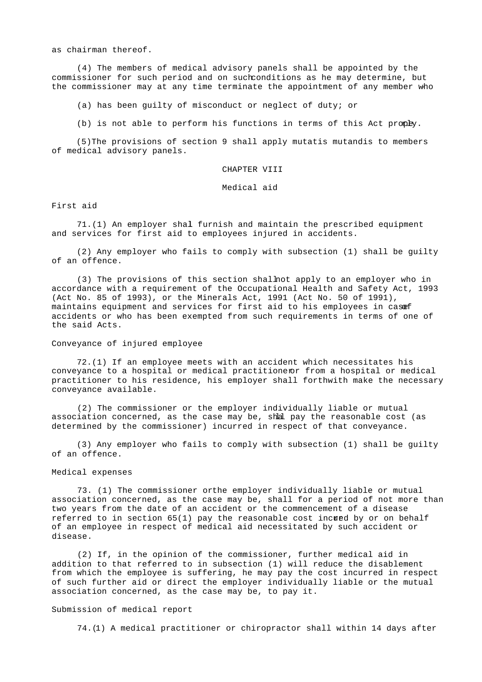as chairman thereof.

 (4) The members of medical advisory panels shall be appointed by the commissioner for such period and on such conditions as he may determine, but the commissioner may at any time terminate the appointment of any member who

(a) has been guilty of misconduct or neglect of duty; or

(b) is not able to perform his functions in terms of this Act propey.

 (5)The provisions of section 9 shall apply mutatis mutandis to members of medical advisory panels.

CHAPTER VIII

Medical aid

First aid

 71.(1) An employer shal furnish and maintain the prescribed equipment and services for first aid to employees injured in accidents.

 (2) Any employer who fails to comply with subsection (1) shall be guilty of an offence.

 (3) The provisions of this section shall not apply to an employer who in accordance with a requirement of the Occupational Health and Safety Act, 1993 (Act No. 85 of 1993), or the Minerals Act, 1991 (Act No. 50 of 1991), maintains equipment and services for first aid to his employees in casef accidents or who has been exempted from such requirements in terms of one of the said Acts.

Conveyance of injured employee

 72.(1) If an employee meets with an accident which necessitates his conveyance to a hospital or medical practitioner from a hospital or medical practitioner to his residence, his employer shall forthwith make the necessary conveyance available.

 (2) The commissioner or the employer individually liable or mutual association concerned, as the case may be, shall pay the reasonable cost (as determined by the commissioner) incurred in respect of that conveyance.

 (3) Any employer who fails to comply with subsection (1) shall be guilty of an offence.

## Medical expenses

73. (1) The commissioner orthe employer individually liable or mutual association concerned, as the case may be, shall for a period of not more than two years from the date of an accident or the commencement of a disease referred to in section  $65(1)$  pay the reasonable cost incured by or on behalf of an employee in respect of medical aid necessitated by such accident or disease.

 (2) If, in the opinion of the commissioner, further medical aid in addition to that referred to in subsection (1) will reduce the disablement from which the employee is suffering, he may pay the cost incurred in respect of such further aid or direct the employer individually liable or the mutual association concerned, as the case may be, to pay it.

#### Submission of medical report

74.(1) A medical practitioner or chiropractor shall within 14 days after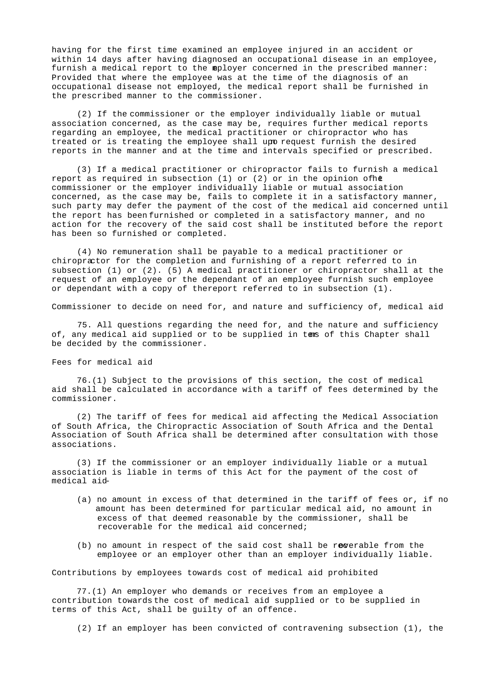having for the first time examined an employee injured in an accident or within 14 days after having diagnosed an occupational disease in an employee, furnish a medical report to the mployer concerned in the prescribed manner: Provided that where the employee was at the time of the diagnosis of an occupational disease not employed, the medical report shall be furnished in the prescribed manner to the commissioner.

 (2) If the commissioner or the employer individually liable or mutual association concerned, as the case may be, requires further medical reports regarding an employee, the medical practitioner or chiropractor who has treated or is treating the employee shall upo request furnish the desired reports in the manner and at the time and intervals specified or prescribed.

 (3) If a medical practitioner or chiropractor fails to furnish a medical report as required in subsection (1) or (2) or in the opinion of h $\epsilon$  commissioner or the employer individually liable or mutual association concerned, as the case may be, fails to complete it in a satisfactory manner, such party may defer the payment of the cost of the medical aid concerned until the report has been furnished or completed in a satisfactory manner, and no action for the recovery of the said cost shall be instituted before the report has been so furnished or completed.

 (4) No remuneration shall be payable to a medical practitioner or chiropractor for the completion and furnishing of a report referred to in subsection (1) or (2). (5) A medical practitioner or chiropractor shall at the request of an employee or the dependant of an employee furnish such employee or dependant with a copy of thereport referred to in subsection (1).

Commissioner to decide on need for, and nature and sufficiency of, medical aid

 75. All questions regarding the need for, and the nature and sufficiency of, any medical aid supplied or to be supplied in tams of this Chapter shall be decided by the commissioner.

Fees for medical aid

 76.(1) Subject to the provisions of this section, the cost of medical aid shall be calculated in accordance with a tariff of fees determined by the commissioner.

 (2) The tariff of fees for medical aid affecting the Medical Association of South Africa, the Chiropractic Association of South Africa and the Dental Association of South Africa shall be determined after consultation with those associations.

 (3) If the commissioner or an employer individually liable or a mutual association is liable in terms of this Act for the payment of the cost of medical aid-

- (a) no amount in excess of that determined in the tariff of fees or, if no amount has been determined for particular medical aid, no amount in excess of that deemed reasonable by the commissioner, shall be recoverable for the medical aid concerned;
- $(b)$  no amount in respect of the said cost shall be recorable from the employee or an employer other than an employer individually liable.

Contributions by employees towards cost of medical aid prohibited

 77.(1) An employer who demands or receives from an employee a contribution towards the cost of medical aid supplied or to be supplied in terms of this Act, shall be guilty of an offence.

(2) If an employer has been convicted of contravening subsection (1), the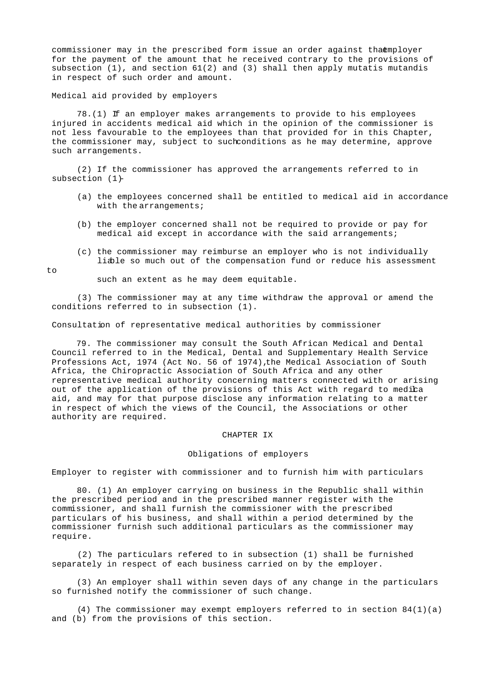commissioner may in the prescribed form issue an order against thaemployer for the payment of the amount that he received contrary to the provisions of subsection  $(1)$ , and section  $61(2)$  and  $(3)$  shall then apply mutatis mutandis in respect of such order and amount.

Medical aid provided by employers

 78.(1) If an employer makes arrangements to provide to his employees injured in accidents medical aid which in the opinion of the commissioner is not less favourable to the employees than that provided for in this Chapter, the commissioner may, subject to such conditions as he may determine, approve such arrangements.

 (2) If the commissioner has approved the arrangements referred to in subsection  $(1)$ -

- (a) the employees concerned shall be entitled to medical aid in accordance with the arrangements;
- (b) the employer concerned shall not be required to provide or pay for medical aid except in accordance with the said arrangements;
- (c) the commissioner may reimburse an employer who is not individually liable so much out of the compensation fund or reduce his assessment

```
to
```
such an extent as he may deem equitable.

 (3) The commissioner may at any time withdraw the approval or amend the conditions referred to in subsection (1).

Consultation of representative medical authorities by commissioner

 79. The commissioner may consult the South African Medical and Dental Council referred to in the Medical, Dental and Supplementary Health Service Professions Act, 1974 (Act No. 56 of 1974), the Medical Association of South Africa, the Chiropractic Association of South Africa and any other representative medical authority concerning matters connected with or arising out of the application of the provisions of this Act with regard to medica aid, and may for that purpose disclose any information relating to a matter in respect of which the views of the Council, the Associations or other authority are required.

#### CHAPTER IX

#### Obligations of employers

Employer to register with commissioner and to furnish him with particulars

 80. (1) An employer carrying on business in the Republic shall within the prescribed period and in the prescribed manner register with the commissioner, and shall furnish the commissioner with the prescribed particulars of his business, and shall within a period determined by the commissioner furnish such additional particulars as the commissioner may require.

 (2) The particulars refered to in subsection (1) shall be furnished separately in respect of each business carried on by the employer.

 (3) An employer shall within seven days of any change in the particulars so furnished notify the commissioner of such change.

(4) The commissioner may exempt employers referred to in section  $84(1)(a)$ and (b) from the provisions of this section.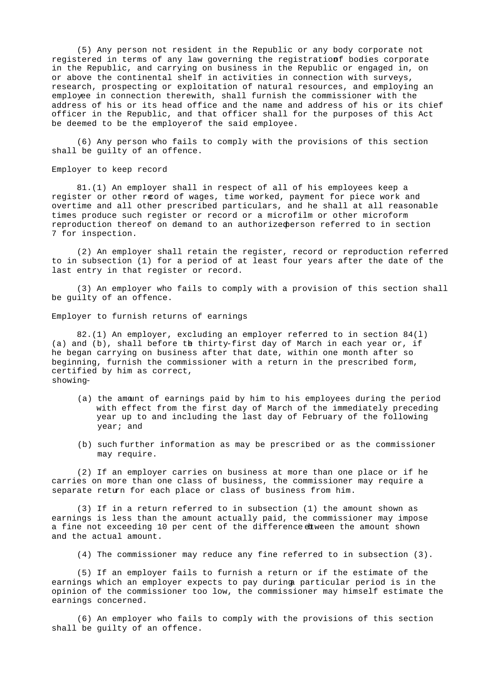(5) Any person not resident in the Republic or any body corporate not registered in terms of any law governing the registrationf bodies corporate in the Republic, and carrying on business in the Republic or engaged in, on or above the continental shelf in activities in connection with surveys, research, prospecting or exploitation of natural resources, and employing an employee in connection therewith, shall furnish the commissioner with the address of his or its head office and the name and address of his or its chief officer in the Republic, and that officer shall for the purposes of this Act be deemed to be the employer of the said employee.

 (6) Any person who fails to comply with the provisions of this section shall be guilty of an offence.

Employer to keep record

 81.(1) An employer shall in respect of all of his employees keep a register or other record of wages, time worked, payment for piece work and overtime and all other prescribed particulars, and he shall at all reasonable times produce such register or record or a microfilm or other microform reproduction thereof on demand to an authorized person referred to in section 7 for inspection.

 (2) An employer shall retain the register, record or reproduction referred to in subsection (1) for a period of at least four years after the date of the last entry in that register or record.

 (3) An employer who fails to comply with a provision of this section shall be guilty of an offence.

Employer to furnish returns of earnings

 82.(1) An employer, excluding an employer referred to in section 84(l) (a) and (b), shall before the thirty-first day of March in each year or, if he began carrying on business after that date, within one month after so beginning, furnish the commissioner with a return in the prescribed form, certified by him as correct, showing-

- (a) the amount of earnings paid by him to his employees during the period with effect from the first day of March of the immediately preceding year up to and including the last day of February of the following year; and
- (b) such further information as may be prescribed or as the commissioner may require.

 (2) If an employer carries on business at more than one place or if he carries on more than one class of business, the commissioner may require a separate return for each place or class of business from him.

 (3) If in a return referred to in subsection (1) the amount shown as earnings is less than the amount actually paid, the commissioner may impose a fine not exceeding 10 per cent of the difference etween the amount shown and the actual amount.

(4) The commissioner may reduce any fine referred to in subsection (3).

 (5) If an employer fails to furnish a return or if the estimate of the earnings which an employer expects to pay during particular period is in the opinion of the commissioner too low, the commissioner may himself estimate the earnings concerned.

 (6) An employer who fails to comply with the provisions of this section shall be guilty of an offence.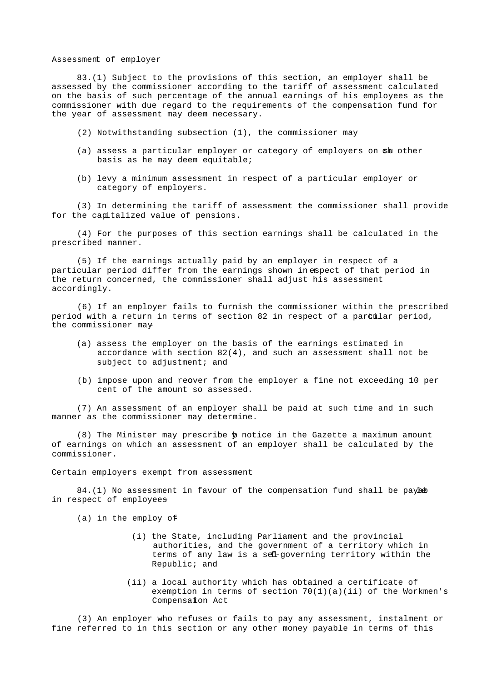### Assessment of employer

 83.(1) Subject to the provisions of this section, an employer shall be assessed by the commissioner according to the tariff of assessment calculated on the basis of such percentage of the annual earnings of his employees as the commissioner with due regard to the requirements of the compensation fund for the year of assessment may deem necessary.

- (2) Notwithstanding subsection (1), the commissioner may-
- (a) assess a particular employer or category of employers on she other basis as he may deem equitable;
- (b) levy a minimum assessment in respect of a particular employer or category of employers.

 (3) In determining the tariff of assessment the commissioner shall provide for the capitalized value of pensions.

 (4) For the purposes of this section earnings shall be calculated in the prescribed manner.

 (5) If the earnings actually paid by an employer in respect of a particular period differ from the earnings shown in espect of that period in the return concerned, the commissioner shall adjust his assessment accordingly.

 (6) If an employer fails to furnish the commissioner within the prescribed period with a return in terms of section 82 in respect of a partilar period, the commissioner may-

- (a) assess the employer on the basis of the earnings estimated in accordance with section 82(4), and such an assessment shall not be subject to adjustment; and
- (b) impose upon and recover from the employer a fine not exceeding 10 per cent of the amount so assessed.

 (7) An assessment of an employer shall be paid at such time and in such manner as the commissioner may determine.

 $(8)$  The Minister may prescribe  $\phi$  notice in the Gazette a maximum amount of earnings on which an assessment of an employer shall be calculated by the commissioner.

Certain employers exempt from assessment

 $84.(1)$  No assessment in favour of the compensation fund shall be payable in respect of employees

(a) in the employ of-

- (i) the State, including Parliament and the provincial authorities, and the government of a territory which in terms of any law is a sel-governing territory within the Republic; and
- (ii) a local authority which has obtained a certificate of exemption in terms of section  $70(1)(a)(ii)$  of the Workmen's Compensation Act

 (3) An employer who refuses or fails to pay any assessment, instalment or fine referred to in this section or any other money payable in terms of this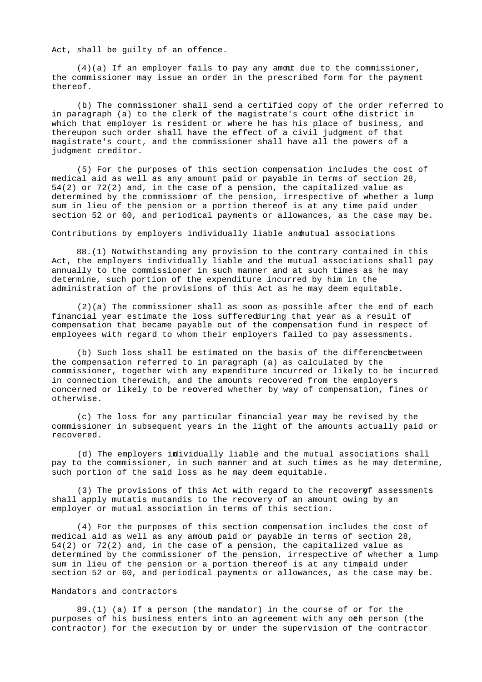Act, shall be guilty of an offence.

 $(4)(a)$  If an employer fails to pay any amont due to the commissioner, the commissioner may issue an order in the prescribed form for the payment thereof.

 (b) The commissioner shall send a certified copy of the order referred to in paragraph (a) to the clerk of the magistrate's court ofhe district in which that employer is resident or where he has his place of business, and thereupon such order shall have the effect of a civil judgment of that magistrate's court, and the commissioner shall have all the powers of a judgment creditor.

 (5) For the purposes of this section compensation includes the cost of medical aid as well as any amount paid or payable in terms of section 28, 54(2) or 72(2) and, in the case of a pension, the capitalized value as determined by the commissionr of the pension, irrespective of whether a lump sum in lieu of the pension or a portion thereof is at any time paid under section 52 or 60, and periodical payments or allowances, as the case may be.

Contributions by employers individually liable and nutual associations

 88.(1) Notwithstanding any provision to the contrary contained in this Act, the employers individually liable and the mutual associations shall pay annually to the commissioner in such manner and at such times as he may determine, such portion of the expenditure incurred by him in the administration of the provisions of this Act as he may deem equitable.

 (2)(a) The commissioner shall as soon as possible after the end of each financial year estimate the loss suffered during that year as a result of compensation that became payable out of the compensation fund in respect of employees with regard to whom their employers failed to pay assessments.

(b) Such loss shall be estimated on the basis of the difference between the compensation referred to in paragraph (a) as calculated by the commissioner, together with any expenditure incurred or likely to be incurred in connection therewith, and the amounts recovered from the employers concerned or likely to be recovered whether by way of compensation, fines or otherwise.

 (c) The loss for any particular financial year may be revised by the commissioner in subsequent years in the light of the amounts actually paid or recovered.

 (d) The employers individually liable and the mutual associations shall pay to the commissioner, in such manner and at such times as he may determine, such portion of the said loss as he may deem equitable.

 $(3)$  The provisions of this Act with regard to the recover of assessments shall apply mutatis mutandis to the recovery of an amount owing by an employer or mutual association in terms of this section.

 (4) For the purposes of this section compensation includes the cost of medical aid as well as any amoun paid or payable in terms of section 28, 54(2) or 72(2) and, in the case of a pension, the capitalized value as determined by the commissioner of the pension, irrespective of whether a lump sum in lieu of the pension or a portion thereof is at any timpaid under section 52 or 60, and periodical payments or allowances, as the case may be.

## Mandators and contractors

 89.(1) (a) If a person (the mandator) in the course of or for the purposes of his business enters into an agreement with any oth person (the contractor) for the execution by or under the supervision of the contractor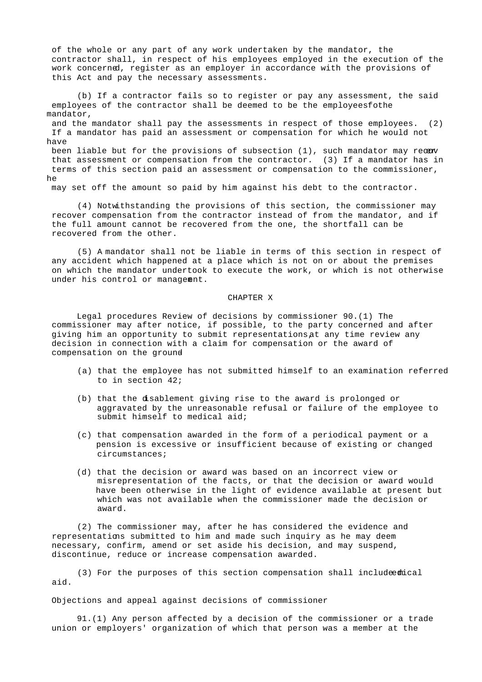of the whole or any part of any work undertaken by the mandator, the contractor shall, in respect of his employees employed in the execution of the work concerned, register as an employer in accordance with the provisions of this Act and pay the necessary assessments.

 (b) If a contractor fails so to register or pay any assessment, the said employees of the contractor shall be deemed to be the employeesfothe mandator,

 and the mandator shall pay the assessments in respect of those employees. (2) If a mandator has paid an assessment or compensation for which he would not have

been liable but for the provisions of subsection  $(1)$ , such mandator may recany that assessment or compensation from the contractor. (3) If a mandator has in terms of this section paid an assessment or compensation to the commissioner, he

may set off the amount so paid by him against his debt to the contractor.

 (4) Notwithstanding the provisions of this section, the commissioner may recover compensation from the contractor instead of from the mandator, and if the full amount cannot be recovered from the one, the shortfall can be recovered from the other.

 (5) A mandator shall not be liable in terms of this section in respect of any accident which happened at a place which is not on or about the premises on which the mandator undertook to execute the work, or which is not otherwise under his control or management.

#### CHAPTER X

 Legal procedures Review of decisions by commissioner 90.(1) The commissioner may after notice, if possible, to the party concerned and after giving him an opportunity to submit representations at any time review any decision in connection with a claim for compensation or the award of compensation on the ground-

- (a) that the employee has not submitted himself to an examination referred to in section 42;
- (b) that the disablement giving rise to the award is prolonged or aggravated by the unreasonable refusal or failure of the employee to submit himself to medical aid;
- (c) that compensation awarded in the form of a periodical payment or a pension is excessive or insufficient because of existing or changed circumstances;
- (d) that the decision or award was based on an incorrect view or misrepresentation of the facts, or that the decision or award would have been otherwise in the light of evidence available at present but which was not available when the commissioner made the decision or award.

 (2) The commissioner may, after he has considered the evidence and representations submitted to him and made such inquiry as he may deem necessary, confirm, amend or set aside his decision, and may suspend, discontinue, reduce or increase compensation awarded.

(3) For the purposes of this section compensation shall includeed ical aid.

Objections and appeal against decisions of commissioner

 91.(1) Any person affected by a decision of the commissioner or a trade union or employers' organization of which that person was a member at the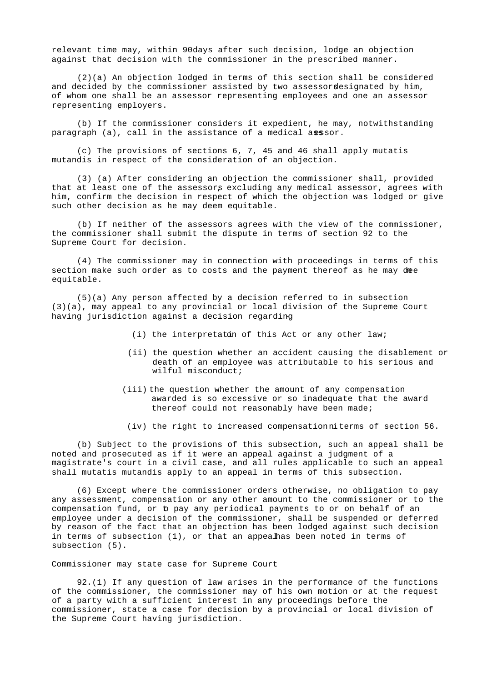relevant time may, within 90 days after such decision, lodge an objection against that decision with the commissioner in the prescribed manner.

 (2)(a) An objection lodged in terms of this section shall be considered and decided by the commissioner assisted by two assessordesignated by him, of whom one shall be an assessor representing employees and one an assessor representing employers.

 (b) If the commissioner considers it expedient, he may, notwithstanding paragraph (a), call in the assistance of a medical axssor.

 (c) The provisions of sections 6, 7, 45 and 46 shall apply mutatis mutandis in respect of the consideration of an objection.

 (3) (a) After considering an objection the commissioner shall, provided that at least one of the assessors excluding any medical assessor, agrees with him, confirm the decision in respect of which the objection was lodged or give such other decision as he may deem equitable.

 (b) If neither of the assessors agrees with the view of the commissioner, the commissioner shall submit the dispute in terms of section 92 to the Supreme Court for decision.

 (4) The commissioner may in connection with proceedings in terms of this section make such order as to costs and the payment thereof as he may duee equitable.

 (5)(a) Any person affected by a decision referred to in subsection (3)(a), may appeal to any provincial or local division of the Supreme Court having jurisdiction against a decision regarding-

- (i) the interpretaton of this Act or any other law;
- (ii) the question whether an accident causing the disablement or death of an employee was attributable to his serious and wilful misconduct;
- (iii) the question whether the amount of any compensation awarded is so excessive or so inadequate that the award thereof could not reasonably have been made;
	- (iv) the right to increased compensation in terms of section 56.

 (b) Subject to the provisions of this subsection, such an appeal shall be noted and prosecuted as if it were an appeal against a judgment of a magistrate's court in a civil case, and all rules applicable to such an appeal shall mutatis mutandis apply to an appeal in terms of this subsection.

 (6) Except where the commissioner orders otherwise, no obligation to pay any assessment, compensation or any other amount to the commissioner or to the compensation fund, or to pay any periodical payments to or on behalf of an employee under a decision of the commissioner, shall be suspended or deferred by reason of the fact that an objection has been lodged against such decision in terms of subsection  $(1)$ , or that an appeal has been noted in terms of subsection (5).

Commissioner may state case for Supreme Court

 92.(1) If any question of law arises in the performance of the functions of the commissioner, the commissioner may of his own motion or at the request of a party with a sufficient interest in any proceedings before the commissioner, state a case for decision by a provincial or local division of the Supreme Court having jurisdiction.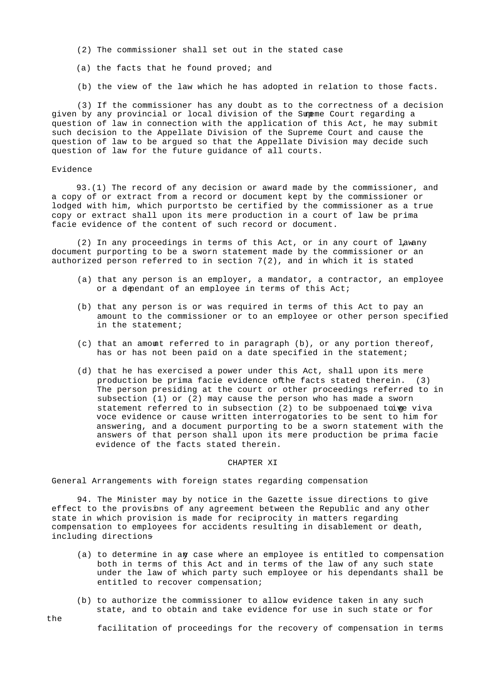- (2) The commissioner shall set out in the stated case
- (a) the facts that he found proved; and
- (b) the view of the law which he has adopted in relation to those facts.

 (3) If the commissioner has any doubt as to the correctness of a decision given by any provincial or local division of the Sumeme Court regarding a question of law in connection with the application of this Act, he may submit such decision to the Appellate Division of the Supreme Court and cause the question of law to be argued so that the Appellate Division may decide such question of law for the future guidance of all courts.

### Evidence

 93.(1) The record of any decision or award made by the commissioner, and a copy of or extract from a record or document kept by the commissioner or lodged with him, which purportsto be certified by the commissioner as a true copy or extract shall upon its mere production in a court of law be prima facie evidence of the content of such record or document.

 $(2)$  In any proceedings in terms of this Act, or in any court of law any document purporting to be a sworn statement made by the commissioner or an authorized person referred to in section  $7(2)$ , and in which it is stated

- (a) that any person is an employer, a mandator, a contractor, an employee or a dependant of an employee in terms of this Act;
- (b) that any person is or was required in terms of this Act to pay an amount to the commissioner or to an employee or other person specified in the statement;
- (c) that an amount referred to in paragraph (b), or any portion thereof, has or has not been paid on a date specified in the statement;
- (d) that he has exercised a power under this Act, shall upon its mere production be prima facie evidence of the facts stated therein. (3) The person presiding at the court or other proceedings referred to in subsection (1) or (2) may cause the person who has made a sworn statement referred to in subsection (2) to be subpoenaed to ge viva voce evidence or cause written interrogatories to be sent to him for answering, and a document purporting to be a sworn statement with the answers of that person shall upon its mere production be prima facie evidence of the facts stated therein.

#### CHAPTER XI

General Arrangements with foreign states regarding compensation

 94. The Minister may by notice in the Gazette issue directions to give effect to the provisions of any agreement between the Republic and any other state in which provision is made for reciprocity in matters regarding compensation to employees for accidents resulting in disablement or death, including directions-

- (a) to determine in any case where an employee is entitled to compensation both in terms of this Act and in terms of the law of any such state under the law of which party such employee or his dependants shall be entitled to recover compensation;
- (b) to authorize the commissioner to allow evidence taken in any such state, and to obtain and take evidence for use in such state or for

facilitation of proceedings for the recovery of compensation in terms

the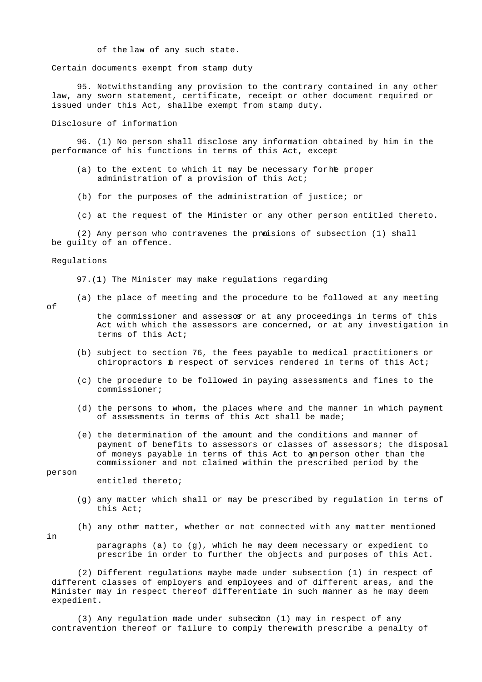of the law of any such state.

Certain documents exempt from stamp duty

 95. Notwithstanding any provision to the contrary contained in any other law, any sworn statement, certificate, receipt or other document required or issued under this Act, shall be exempt from stamp duty.

Disclosure of information

 96. (1) No person shall disclose any information obtained by him in the performance of his functions in terms of this Act, except-

- (a) to the extent to which it may be necessary for he proper administration of a provision of this Act;
- (b) for the purposes of the administration of justice; or
- (c) at the request of the Minister or any other person entitled thereto.

(2) Any person who contravenes the proisions of subsection (1) shall be guilty of an offence.

#### Regulations

97.(1) The Minister may make regulations regarding-

(a) the place of meeting and the procedure to be followed at any meeting

of

the commissioner and assessor or at any proceedings in terms of this Act with which the assessors are concerned, or at any investigation in terms of this Act;

- (b) subject to section 76, the fees payable to medical practitioners or chiropractors in respect of services rendered in terms of this Act;
- (c) the procedure to be followed in paying assessments and fines to the commissioner;
- (d) the persons to whom, the places where and the manner in which payment of assessments in terms of this Act shall be made;
- (e) the determination of the amount and the conditions and manner of payment of benefits to assessors or classes of assessors; the disposal of moneys payable in terms of this Act to an person other than the commissioner and not claimed within the prescribed period by the

person

entitled thereto;

- (g) any matter which shall or may be prescribed by regulation in terms of this Act;
- (h) any other matter, whether or not connected with any matter mentioned

in

 paragraphs (a) to (g), which he may deem necessary or expedient to prescribe in order to further the objects and purposes of this Act.

(2) Different regulations maybe made under subsection (1) in respect of different classes of employers and employees and of different areas, and the Minister may in respect thereof differentiate in such manner as he may deem expedient.

(3) Any regulation made under subsection (1) may in respect of any contravention thereof or failure to comply therewith prescribe a penalty of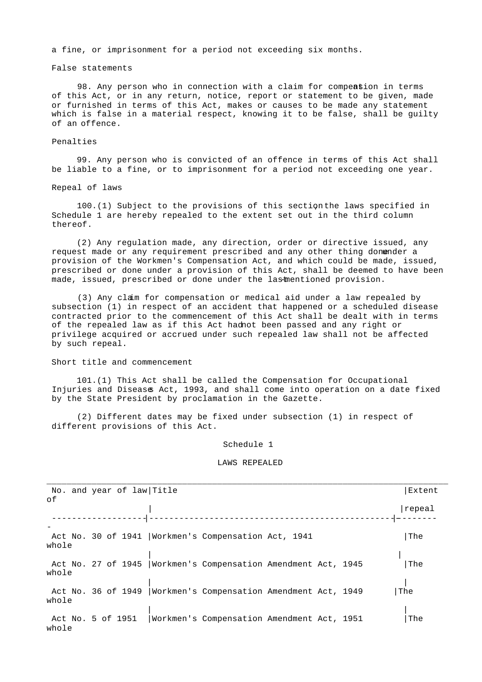a fine, or imprisonment for a period not exceeding six months.

### False statements

98. Any person who in connection with a claim for compeasion in terms of this Act, or in any return, notice, report or statement to be given, made or furnished in terms of this Act, makes or causes to be made any statement which is false in a material respect, knowing it to be false, shall be guilty of an offence.

### Penalties

 99. Any person who is convicted of an offence in terms of this Act shall be liable to a fine, or to imprisonment for a period not exceeding one year.

#### Repeal of laws

 $100.(1)$  Subject to the provisions of this section the laws specified in Schedule 1 are hereby repealed to the extent set out in the third column thereof.

 (2) Any regulation made, any direction, order or directive issued, any request made or any requirement prescribed and any other thing donender a provision of the Workmen's Compensation Act, and which could be made, issued, prescribed or done under a provision of this Act, shall be deemed to have been made, issued, prescribed or done under the lastmentioned provision.

 (3) Any claim for compensation or medical aid under a law repealed by subsection (1) in respect of an accident that happened or a scheduled disease contracted prior to the commencement of this Act shall be dealt with in terms of the repealed law as if this Act had not been passed and any right or privilege acquired or accrued under such repealed law shall not be affected by such repeal.

#### Short title and commencement

 101.(1) This Act shall be called the Compensation for Occupational Injuries and Diseases Act, 1993, and shall come into operation on a date fixed by the State President by proclamation in the Gazette.

 (2) Different dates may be fixed under subsection (1) in respect of different provisions of this Act.

#### Schedule 1

#### LAWS REPEALED

| оf    | No. and year of law Title |                                                                 | Extent |
|-------|---------------------------|-----------------------------------------------------------------|--------|
|       |                           |                                                                 | repeal |
|       |                           |                                                                 |        |
| whole |                           | Act No. 30 of 1941   Workmen's Compensation Act, 1941           | The    |
|       |                           |                                                                 |        |
| whole |                           | Act No. 27 of 1945   Workmen's Compensation Amendment Act, 1945 | The    |
|       |                           |                                                                 |        |
| whole |                           | Act No. 36 of 1949   Workmen's Compensation Amendment Act, 1949 | The    |
|       |                           |                                                                 |        |
| whole | Act No. 5 of 1951         | Workmen's Compensation Amendment Act, 1951                      | The    |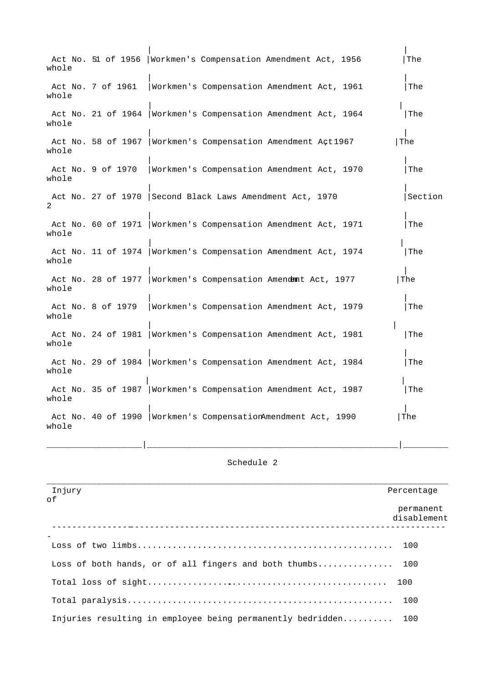| whole          |                   | Act No. 51 of 1956   Workmen's Compensation Amendment Act, 1956 |  | The     |
|----------------|-------------------|-----------------------------------------------------------------|--|---------|
| whole          | Act No. 7 of 1961 | Workmen's Compensation Amendment Act, 1961                      |  | The     |
| whole          |                   | Act No. 21 of 1964   Workmen's Compensation Amendment Act, 1964 |  | The     |
| whole          |                   | Act No. 58 of 1967   Workmen's Compensation Amendment Act1967   |  | The     |
| whole          | Act No. 9 of 1970 | Workmen's Compensation Amendment Act, 1970                      |  | The     |
| $\overline{2}$ |                   | Act No. 27 of 1970 Second Black Laws Amendment Act, 1970        |  | Section |
| whole          |                   | Act No. 60 of 1971   Workmen's Compensation Amendment Act, 1971 |  | The     |
| whole          |                   | Act No. 11 of 1974   Workmen's Compensation Amendment Act, 1974 |  | The     |
| whole          |                   | Act No. 28 of 1977   Workmen's Compensation Amendemit Act, 1977 |  | The     |
| whole          | Act No. 8 of 1979 | Workmen's Compensation Amendment Act, 1979                      |  | The     |
| whole          |                   | Act No. 24 of 1981   Workmen's Compensation Amendment Act, 1981 |  | The     |
| whole          |                   | Act No. 29 of 1984   Workmen's Compensation Amendment Act, 1984 |  | The     |
| whole          |                   | Act No. 35 of 1987   Workmen's Compensation Amendment Act, 1987 |  | The     |
| whole          |                   | Act No. 40 of 1990   Workmen's CompensationAmendment Act, 1990  |  | The     |

# Schedule 2

| Injury                                                         | Percentage               |
|----------------------------------------------------------------|--------------------------|
| οf                                                             | permanent<br>disablement |
|                                                                |                          |
| Loss of both hands, or of all fingers and both thumbs 100      |                          |
|                                                                |                          |
|                                                                |                          |
| Injuries resulting in employee being permanently bedridden 100 |                          |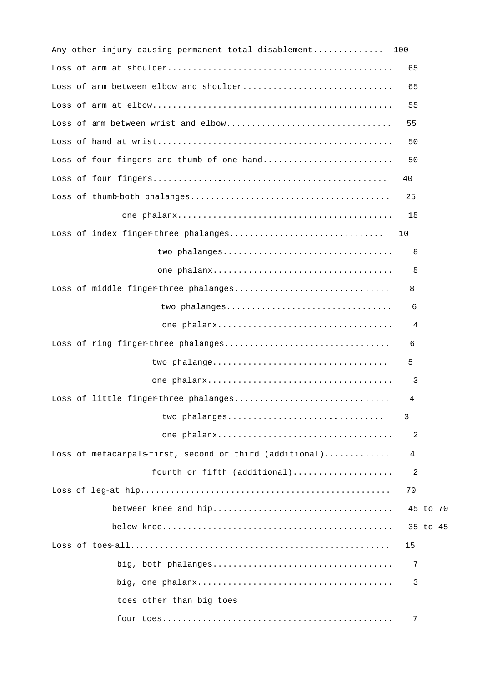| Any other injury causing permanent total disablement   | 100 |          |
|--------------------------------------------------------|-----|----------|
|                                                        | 65  |          |
| Loss of arm between elbow and shoulder                 | 65  |          |
|                                                        | 55  |          |
| Loss of arm between wrist and elbow                    | 55  |          |
|                                                        | 50  |          |
| Loss of four fingers and thumb of one hand             | 50  |          |
|                                                        | 40  |          |
|                                                        | 25  |          |
|                                                        | 15  |          |
| Loss of index fingerthree phalanges                    | 10  |          |
| two phalanges                                          | 8   |          |
|                                                        | 5   |          |
| Loss of middle fingerthree phalanges                   | 8   |          |
| two phalanges                                          | 6   |          |
|                                                        | 4   |          |
| Loss of ring fingerthree phalanges                     | 6   |          |
| two phalange                                           | 5   |          |
|                                                        | 3   |          |
| Loss of little fingerthree phalanges                   | 4   |          |
| two phalanges                                          | 3   |          |
|                                                        | 2   |          |
| Loss of metacarpalsfirst, second or third (additional) | 4   |          |
| fourth or fifth (additional)                           | 2   |          |
|                                                        | 70  |          |
|                                                        |     | 45 to 70 |
|                                                        |     | 35 to 45 |
|                                                        | 15  |          |
|                                                        | 7   |          |
|                                                        | 3   |          |
| toes other than big toes                               |     |          |
|                                                        | 7   |          |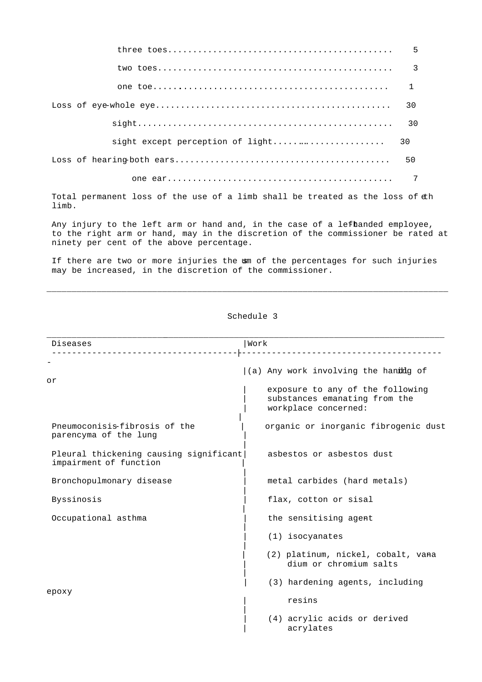| 5  |
|----|
| 3  |
| 1  |
| 30 |
| 30 |
| 30 |
| 50 |
|    |

Total permanent loss of the use of a limb shall be treated as the loss of  $\pm h$ limb.

Any injury to the left arm or hand and, in the case of a lefhanded employee, to the right arm or hand, may in the discretion of the commissioner be rated at ninety per cent of the above percentage.

If there are two or more injuries the sm of the percentages for such injuries may be increased, in the discretion of the commissioner.

\_\_\_\_\_\_\_\_\_\_\_\_\_\_\_\_\_\_\_\_\_\_\_\_\_\_\_\_\_\_\_\_\_\_\_\_\_\_\_\_\_\_\_\_\_\_\_\_\_\_\_\_\_\_\_\_\_\_\_\_\_\_\_\_\_\_\_\_\_\_\_\_\_\_\_\_\_\_\_\_

| Diseases                                                         | Work                                                                                      |  |  |
|------------------------------------------------------------------|-------------------------------------------------------------------------------------------|--|--|
| οr                                                               | $(a)$ Any work involving the handled of                                                   |  |  |
|                                                                  | exposure to any of the following<br>substances emanating from the<br>workplace concerned: |  |  |
| Pneumoconisis-fibrosis of the<br>parencyma of the lung           | organic or inorganic fibrogenic dust                                                      |  |  |
| Pleural thickening causing significant<br>impairment of function | asbestos or asbestos dust                                                                 |  |  |
| Bronchopulmonary disease                                         | metal carbides (hard metals)                                                              |  |  |
| Byssinosis                                                       | flax, cotton or sisal                                                                     |  |  |
| Occupational asthma                                              | the sensitising agent                                                                     |  |  |
|                                                                  | $(1)$ isocyanates                                                                         |  |  |
|                                                                  | (2) platinum, nickel, cobalt, vana<br>dium or chromium salts                              |  |  |
|                                                                  | (3) hardening agents, including                                                           |  |  |
| ероху                                                            | resins                                                                                    |  |  |
|                                                                  | (4) acrylic acids or derived<br>acrylates                                                 |  |  |

Schedule 3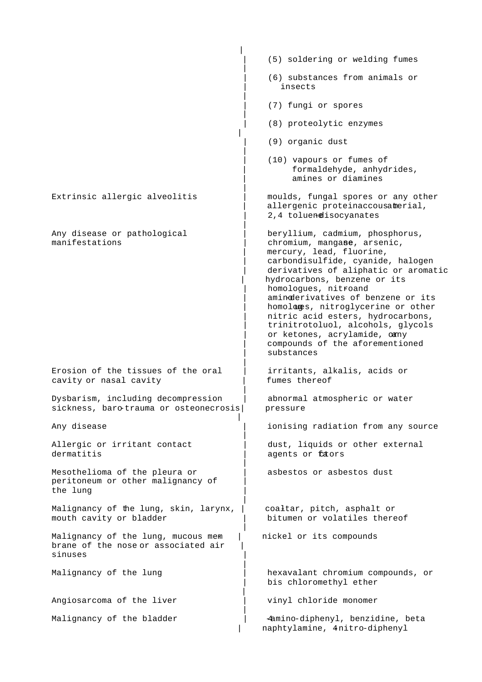|                                                                                      | (5) soldering or welding fumes                                                                                                                                                                                                                                                                                                                                                                                                                                        |
|--------------------------------------------------------------------------------------|-----------------------------------------------------------------------------------------------------------------------------------------------------------------------------------------------------------------------------------------------------------------------------------------------------------------------------------------------------------------------------------------------------------------------------------------------------------------------|
|                                                                                      | (6) substances from animals or<br>insects                                                                                                                                                                                                                                                                                                                                                                                                                             |
|                                                                                      | (7) fungi or spores                                                                                                                                                                                                                                                                                                                                                                                                                                                   |
|                                                                                      | (8) proteolytic enzymes                                                                                                                                                                                                                                                                                                                                                                                                                                               |
|                                                                                      | (9) organic dust                                                                                                                                                                                                                                                                                                                                                                                                                                                      |
|                                                                                      | (10) vapours or fumes of<br>formaldehyde, anhydrides,<br>amines or diamines                                                                                                                                                                                                                                                                                                                                                                                           |
| Extrinsic allergic alveolitis                                                        | moulds, fungal spores or any other<br>allergenic proteinaccousatmerial,<br>2,4 toluendisocyanates                                                                                                                                                                                                                                                                                                                                                                     |
| Any disease or pathological<br>manifestations                                        | beryllium, cadmium, phosphorus,<br>chromium, mangane, arsenic,<br>mercury, lead, fluorine,<br>carbondisulfide, cyanide, halogen<br>derivatives of aliphatic or aromatic<br>hydrocarbons, benzene or its<br>homologues, nitroand<br>aminderivatives of benzene or its<br>homologes, nitroglycerine or other<br>nitric acid esters, hydrocarbons,<br>trinitrotoluol, alcohols, glycols<br>or ketones, acrylamide, oany<br>compounds of the aforementioned<br>substances |
| Erosion of the tissues of the oral<br>cavity or nasal cavity                         | irritants, alkalis, acids or<br>fumes thereof                                                                                                                                                                                                                                                                                                                                                                                                                         |
| Dysbarism, including decompression<br>sickness, barotrauma or osteonecrosis          | abnormal atmospheric or water<br>pressure                                                                                                                                                                                                                                                                                                                                                                                                                             |
| Any disease                                                                          | ionising radiation from any source                                                                                                                                                                                                                                                                                                                                                                                                                                    |
| Allergic or irritant contact<br>dermatitis                                           | dust, liquids or other external<br>agents or fators                                                                                                                                                                                                                                                                                                                                                                                                                   |
| Mesothelioma of the pleura or<br>peritoneum or other malignancy of<br>the lung       | asbestos or asbestos dust                                                                                                                                                                                                                                                                                                                                                                                                                                             |
| Malignancy of the lung, skin, larynx,<br>mouth cavity or bladder                     | coaltar, pitch, asphalt or<br>bitumen or volatiles thereof                                                                                                                                                                                                                                                                                                                                                                                                            |
| Malignancy of the lung, mucous mem<br>brane of the nose or associated air<br>sinuses | nickel or its compounds                                                                                                                                                                                                                                                                                                                                                                                                                                               |
| Malignancy of the lung                                                               | hexavalant chromium compounds, or<br>bis chloromethyl ether                                                                                                                                                                                                                                                                                                                                                                                                           |
| Angiosarcoma of the liver                                                            | vinyl chloride monomer                                                                                                                                                                                                                                                                                                                                                                                                                                                |
| Malignancy of the bladder                                                            | 4amino-diphenyl, benzidine, beta<br>naphtylamine, 4nitro-diphenyl                                                                                                                                                                                                                                                                                                                                                                                                     |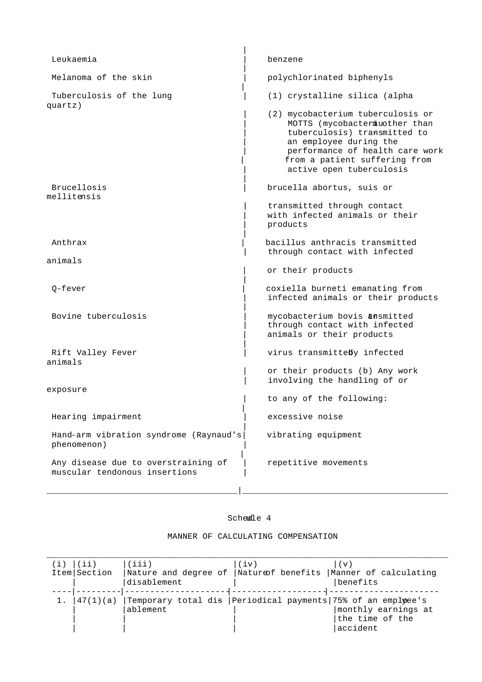| Leukaemia                                                            | benzene                                                                                                                                                                                                                       |
|----------------------------------------------------------------------|-------------------------------------------------------------------------------------------------------------------------------------------------------------------------------------------------------------------------------|
| Melanoma of the skin                                                 | polychlorinated biphenyls                                                                                                                                                                                                     |
| Tuberculosis of the lung                                             | (1) crystalline silica (alpha                                                                                                                                                                                                 |
| quartz)                                                              | (2) mycobacterium tuberculosis or<br>MOTTS (mycobactermiuother than<br>tuberculosis) transmitted to<br>an employee during the<br>performance of health care work<br>from a patient suffering from<br>active open tuberculosis |
| Brucellosis<br>mellitensis                                           | brucella abortus, suis or                                                                                                                                                                                                     |
|                                                                      | transmitted through contact<br>with infected animals or their<br>products                                                                                                                                                     |
| Anthrax                                                              | bacillus anthracis transmitted<br>through contact with infected                                                                                                                                                               |
| animals                                                              | or their products                                                                                                                                                                                                             |
| 0-fever                                                              | coxiella burneti emanating from<br>infected animals or their products                                                                                                                                                         |
| Bovine tuberculosis                                                  | mycobacterium bovis amsmitted<br>through contact with infected<br>animals or their products                                                                                                                                   |
| Rift Valley Fever<br>animals                                         | virus transmitteby infected                                                                                                                                                                                                   |
|                                                                      | or their products (b) Any work<br>involving the handling of or                                                                                                                                                                |
| exposure                                                             | to any of the following:                                                                                                                                                                                                      |
| Hearing impairment                                                   | excessive noise                                                                                                                                                                                                               |
| Hand-arm vibration syndrome (Raynaud's)<br>phenomenon)               | vibrating equipment                                                                                                                                                                                                           |
| Any disease due to overstraining of<br>muscular tendonous insertions | repetitive movements                                                                                                                                                                                                          |
|                                                                      |                                                                                                                                                                                                                               |

# Schedle 4

| (i) | (ii)         | (iii)                                                         | (iv) | (v)                   |
|-----|--------------|---------------------------------------------------------------|------|-----------------------|
|     | Item Section | Nature and degree of  Natureof benefits                       |      | Manner of calculating |
|     |              | disablement                                                   |      | benefits              |
|     |              |                                                               |      |                       |
|     | 47(1)(a)     | Temporary total dis   Periodical payments 75% of an emplyee's |      |                       |
|     |              | ablement                                                      |      | monthly earnings at   |
|     |              |                                                               |      | the time of the       |
|     |              |                                                               |      | accident              |